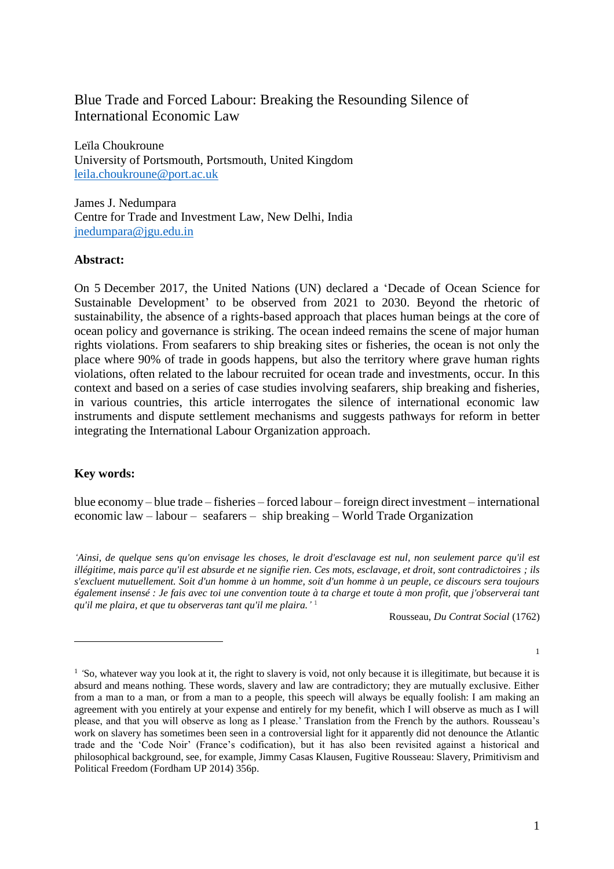# Blue Trade and Forced Labour: Breaking the Resounding Silence of International Economic Law

Leïla Choukroune University of Portsmouth, Portsmouth, United Kingdom [leila.choukroune@port.ac.uk](mailto:leila.choukroune@port.ac.uk)

James J. Nedumpara Centre for Trade and Investment Law, New Delhi, India [jnedumpara@jgu.edu.in](mailto:jnedumpara@jgu.edu.in)

#### **Abstract:**

On 5 December 2017, the United Nations (UN) declared a 'Decade of Ocean Science for Sustainable Development' to be observed from 2021 to 2030. Beyond the rhetoric of sustainability, the absence of a rights-based approach that places human beings at the core of ocean policy and governance is striking. The ocean indeed remains the scene of major human rights violations. From seafarers to ship breaking sites or fisheries, the ocean is not only the place where 90% of trade in goods happens, but also the territory where grave human rights violations, often related to the labour recruited for ocean trade and investments, occur. In this context and based on a series of case studies involving seafarers, ship breaking and fisheries, in various countries, this article interrogates the silence of international economic law instruments and dispute settlement mechanisms and suggests pathways for reform in better integrating the International Labour Organization approach.

## **Key words:**

 $\overline{a}$ 

blue economy – blue trade – fisheries – forced labour – foreign direct investment – international economic law – labour – seafarers – ship breaking – World Trade Organization

*'Ainsi, de quelque sens qu'on envisage les choses, le droit d'esclavage est nul, non seulement parce qu'il est illégitime, mais parce qu'il est absurde et ne signifie rien. Ces mots, esclavage, et droit, sont contradictoires ; ils s'excluent mutuellement. Soit d'un homme à un homme, soit d'un homme à un peuple, ce discours sera toujours également insensé : Je fais avec toi une convention toute à ta charge et toute à mon profit, que j'observerai tant qu'il me plaira, et que tu observeras tant qu'il me plaira.'* 1

Rousseau, *Du Contrat Social* (1762)

1

<sup>&</sup>lt;sup>1</sup> 'So, whatever way you look at it, the right to slavery is void, not only because it is illegitimate, but because it is absurd and means nothing. These words, slavery and law are contradictory; they are mutually exclusive. Either from a man to a man, or from a man to a people, this speech will always be equally foolish: I am making an agreement with you entirely at your expense and entirely for my benefit, which I will observe as much as I will please, and that you will observe as long as I please.' Translation from the French by the authors. Rousseau's work on slavery has sometimes been seen in a controversial light for it apparently did not denounce the Atlantic trade and the 'Code Noir' (France's codification), but it has also been revisited against a historical and philosophical background, see, for example, Jimmy Casas Klausen, Fugitive Rousseau: Slavery, Primitivism and Political Freedom (Fordham UP 2014) 356p.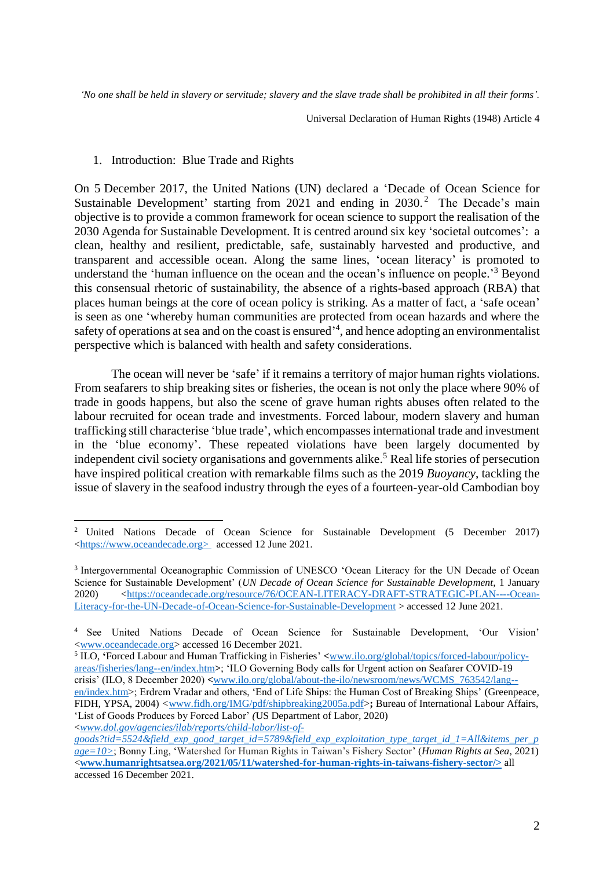'No one shall be held in slavery or servitude; slavery and the slave trade shall be prohibited in all their forms'.

Universal Declaration of Human Rights (1948) Article 4

#### 1. Introduction: Blue Trade and Rights

On 5 December 2017, the United Nations (UN) declared a 'Decade of Ocean Science for Sustainable Development' starting from 2021 and ending in 2030.<sup>2</sup> The Decade's main objective is to provide a common framework for ocean science to support the realisation of the 2030 Agenda for Sustainable Development. It is centred around six key 'societal outcomes': a clean, healthy and resilient, predictable, safe, sustainably harvested and productive, and transparent and accessible ocean. Along the same lines, 'ocean literacy' is promoted to understand the 'human influence on the ocean and the ocean's influence on people.<sup>3</sup> Beyond this consensual rhetoric of sustainability, the absence of a rights-based approach (RBA) that places human beings at the core of ocean policy is striking. As a matter of fact, a 'safe ocean' is seen as one 'whereby human communities are protected from ocean hazards and where the safety of operations at sea and on the coast is ensured<sup>14</sup>, and hence adopting an environmentalist perspective which is balanced with health and safety considerations.

The ocean will never be 'safe' if it remains a territory of major human rights violations. From seafarers to ship breaking sites or fisheries, the ocean is not only the place where 90% of trade in goods happens, but also the scene of grave human rights abuses often related to the labour recruited for ocean trade and investments. Forced labour, modern slavery and human trafficking still characterise 'blue trade', which encompassesinternational trade and investment in the 'blue economy'. These repeated violations have been largely documented by independent civil society organisations and governments alike. <sup>5</sup> Real life stories of persecution have inspired political creation with remarkable films such as the 2019 *Buoyancy*, tackling the issue of slavery in the seafood industry through the eyes of a fourteen-year-old Cambodian boy

5 ILO, **'**Forced Labour and Human Trafficking in Fisheries' **<**[www.ilo.org/global/topics/forced-labour/policy](http://www.ilo.org/global/topics/forced-labour/policy-areas/fisheries/lang--en/index.htm)[areas/fisheries/lang--en/index.htm](http://www.ilo.org/global/topics/forced-labour/policy-areas/fisheries/lang--en/index.htm)**>**; 'ILO Governing Body calls for Urgent action on Seafarer COVID-19 crisis' (ILO, 8 December 2020) **<**[www.ilo.org/global/about-the-ilo/newsroom/news/WCMS\\_763542/lang--](https://www.ilo.org/global/about-the-ilo/newsroom/news/WCMS_763542/lang--en/index.htm)

 $\overline{a}$ <sup>2</sup> United Nations Decade of Ocean Science for Sustainable Development (5 December 2017) [<https://www.oceandecade.org>](https://www.oceandecade.org/) accessed 12 June 2021.

<sup>&</sup>lt;sup>3</sup> Intergovernmental Oceanographic Commission of UNESCO 'Ocean Literacy for the UN Decade of Ocean Science for Sustainable Development' (*UN Decade of Ocean Science for Sustainable Development*, 1 January 2020) [<https://oceandecade.org/resource/76/OCEAN-LITERACY-DRAFT-STRATEGIC-PLAN----Ocean-](https://oceandecade.org/resource/76/OCEAN-LITERACY-DRAFT-STRATEGIC-PLAN----Ocean-Literacy-for-the-UN-Decade-of-Ocean-Science-for-Sustainable-Development)[Literacy-for-the-UN-Decade-of-Ocean-Science-for-Sustainable-Development](https://oceandecade.org/resource/76/OCEAN-LITERACY-DRAFT-STRATEGIC-PLAN----Ocean-Literacy-for-the-UN-Decade-of-Ocean-Science-for-Sustainable-Development) > accessed 12 June 2021.

<sup>4</sup> See United Nations Decade of Ocean Science for Sustainable Development, 'Our Vision' [<www.oceandecade.org>](https://www.oceandecade.org/) accessed 16 December 2021.

[en/index.htm>](https://www.ilo.org/global/about-the-ilo/newsroom/news/WCMS_763542/lang--en/index.htm); Erdrem Vradar and others, 'End of Life Ships: the Human Cost of Breaking Ships' (Greenpeace*,*  FIDH, YPSA, 2004) *<*[www.fidh.org/IMG/pdf/shipbreaking2005a.pdf>](http://www.fidh.org/IMG/pdf/shipbreaking2005a.pdf)**;** Bureau of International Labour Affairs, 'List of Goods Produces by Forced Labor' *(*US Department of Labor*,* 2020) <*[www.dol.gov/agencies/ilab/reports/child-labor/list-of-](https://www.dol.gov/agencies/ilab/reports/child-labor/list-of-goods?tid=5524&field_exp_good_target_id=5789&field_exp_exploitation_type_target_id_1=All&items_per_page=10)*

*[goods?tid=5524&field\\_exp\\_good\\_target\\_id=5789&field\\_exp\\_exploitation\\_type\\_target\\_id\\_1=All&items\\_per\\_p](https://www.dol.gov/agencies/ilab/reports/child-labor/list-of-goods?tid=5524&field_exp_good_target_id=5789&field_exp_exploitation_type_target_id_1=All&items_per_page=10) [age=10>](https://www.dol.gov/agencies/ilab/reports/child-labor/list-of-goods?tid=5524&field_exp_good_target_id=5789&field_exp_exploitation_type_target_id_1=All&items_per_page=10)*; Bonny Ling, 'Watershed for Human Rights in Taiwan's Fishery Sector' (*Human Rights at Sea*, 2021) <**[www.humanrightsatsea.org/2021/05/11/watershed-for-human-rights-in-taiwans-fishery-sector/>](https://www.humanrightsatsea.org/2021/05/11/watershed-for-human-rights-in-taiwans-fishery-sector/)** all accessed 16 December 2021.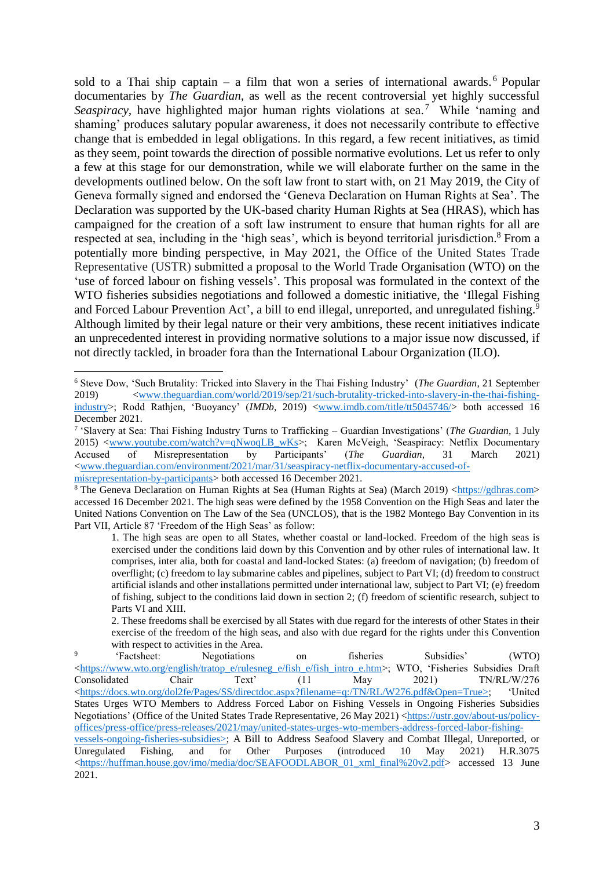sold to a Thai ship captain – a film that won a series of international awards.<sup>6</sup> Popular documentaries by *The Guardian,* as well as the recent controversial yet highly successful Seaspiracy, have highlighted major human rights violations at sea.<sup>7</sup> While 'naming and shaming' produces salutary popular awareness, it does not necessarily contribute to effective change that is embedded in legal obligations. In this regard, a few recent initiatives, as timid as they seem, point towards the direction of possible normative evolutions. Let us refer to only a few at this stage for our demonstration, while we will elaborate further on the same in the developments outlined below. On the soft law front to start with, on 21 May 2019, the City of Geneva formally signed and endorsed the 'Geneva Declaration on Human Rights at Sea'. The Declaration was supported by the UK-based charity Human Rights at Sea (HRAS), which has campaigned for the creation of a soft law instrument to ensure that human rights for all are respected at sea, including in the 'high seas', which is beyond territorial jurisdiction.<sup>8</sup> From a potentially more binding perspective, in May 2021, the Office of the United States Trade Representative (USTR) submitted a proposal to the World Trade Organisation (WTO) on the 'use of forced labour on fishing vessels'. This proposal was formulated in the context of the WTO fisheries subsidies negotiations and followed a domestic initiative, the 'Illegal Fishing and Forced Labour Prevention Act', a bill to end illegal, unreported, and unregulated fishing.<sup>9</sup> Although limited by their legal nature or their very ambitions, these recent initiatives indicate an unprecedented interest in providing normative solutions to a major issue now discussed, if not directly tackled, in broader fora than the International Labour Organization (ILO).

<sup>6</sup> Steve Dow, 'Such Brutality: Tricked into Slavery in the Thai Fishing Industry' (*The Guardian*, 21 September 2019) [<www.theguardian.com/world/2019/sep/21/such-brutality-tricked-into-slavery-in-the-thai-fishing](http://www.theguardian.com/world/2019/sep/21/such-brutality-tricked-into-slavery-in-the-thai-fishing-industry)[industry>](http://www.theguardian.com/world/2019/sep/21/such-brutality-tricked-into-slavery-in-the-thai-fishing-industry); Rodd Rathjen, 'Buoyancy' (*IMDb*, 2019) [<www.imdb.com/title/tt5045746/>](http://www.imdb.com/title/tt5045746/) both accessed 16 December 2021.

<sup>7</sup> 'Slavery at Sea: Thai Fishing Industry Turns to Trafficking – Guardian Investigations' (*The Guardian,* 1 July 2015) [<www.youtube.com/watch?v=qNwoqLB\\_wKs>](https://www.youtube.com/watch?v=qNwoqLB_wKs); Karen McVeigh, 'Seaspiracy: Netflix Documentary Accused of Misrepresentation by Participants' (*The Guardian*, 31 March 2021) [<www.theguardian.com/environment/2021/mar/31/seaspiracy-netflix-documentary-accused-of-](https://www.theguardian.com/environment/2021/mar/31/seaspiracy-netflix-documentary-accused-of-misrepresentation-by-participants)

[misrepresentation-by-participants>](https://www.theguardian.com/environment/2021/mar/31/seaspiracy-netflix-documentary-accused-of-misrepresentation-by-participants) both accessed 16 December 2021.

<sup>8</sup> The Geneva Declaration on Human Rights at Sea (Human Rights at Sea) (March 2019) [<https://gdhras.com>](https://gdhras.com/) accessed 16 December 2021. The high seas were defined by the 1958 Convention on the High Seas and later the United Nations Convention on The Law of the Sea (UNCLOS), that is the 1982 Montego Bay Convention in its Part VII, Article 87 'Freedom of the High Seas' as follow:

<sup>1.</sup> The high seas are open to all States, whether coastal or land-locked. Freedom of the high seas is exercised under the conditions laid down by this Convention and by other rules of international law. It comprises, inter alia, both for coastal and land-locked States: (a) freedom of navigation; (b) freedom of overflight; (c) freedom to lay submarine cables and pipelines, subject to Part VI; (d) freedom to construct artificial islands and other installations permitted under international law, subject to Part VI; (e) freedom of fishing, subject to the conditions laid down in section 2; (f) freedom of scientific research, subject to Parts VI and XIII.

<sup>2.</sup> These freedoms shall be exercised by all States with due regard for the interests of other States in their exercise of the freedom of the high seas, and also with due regard for the rights under this Convention with respect to activities in the Area.

<sup>9</sup> 'Factsheet: Negotiations on fisheries Subsidies' (WTO) [<https://www.wto.org/english/tratop\\_e/rulesneg\\_e/fish\\_e/fish\\_intro\\_e.htm>](https://www.wto.org/english/tratop_e/rulesneg_e/fish_e/fish_intro_e.htm); WTO, 'Fisheries Subsidies Draft Consolidated Chair Text' (11 May 2021) TN/RL/W/276 [<https://docs.wto.org/dol2fe/Pages/SS/directdoc.aspx?filename=q:/TN/RL/W276.pdf&Open=True>](https://docs.wto.org/dol2fe/Pages/SS/directdoc.aspx?filename=q:/TN/RL/W276.pdf&Open=True); 'United States Urges WTO Members to Address Forced Labor on Fishing Vessels in Ongoing Fisheries Subsidies Negotiations' (Office of the United States Trade Representative*,* 26 May 2021) [<https://ustr.gov/about-us/policy](https://ustr.gov/about-us/policy-offices/press-office/press-releases/2021/may/united-states-urges-wto-members-address-forced-labor-fishing-vessels-ongoing-fisheries-subsidies)[offices/press-office/press-releases/2021/may/united-states-urges-wto-members-address-forced-labor-fishing](https://ustr.gov/about-us/policy-offices/press-office/press-releases/2021/may/united-states-urges-wto-members-address-forced-labor-fishing-vessels-ongoing-fisheries-subsidies)[vessels-ongoing-fisheries-subsidies>](https://ustr.gov/about-us/policy-offices/press-office/press-releases/2021/may/united-states-urges-wto-members-address-forced-labor-fishing-vessels-ongoing-fisheries-subsidies); A Bill to Address Seafood Slavery and Combat Illegal, Unreported, or Unregulated Fishing, and for Other Purposes (introduced 10 May 2021) H.R.3075  $\lt$ https://huffman.house.gov/imo/media/doc/SEAFOODLABOR\_01\_xml\_final%20v2.pdf> accessed 13 June 2021.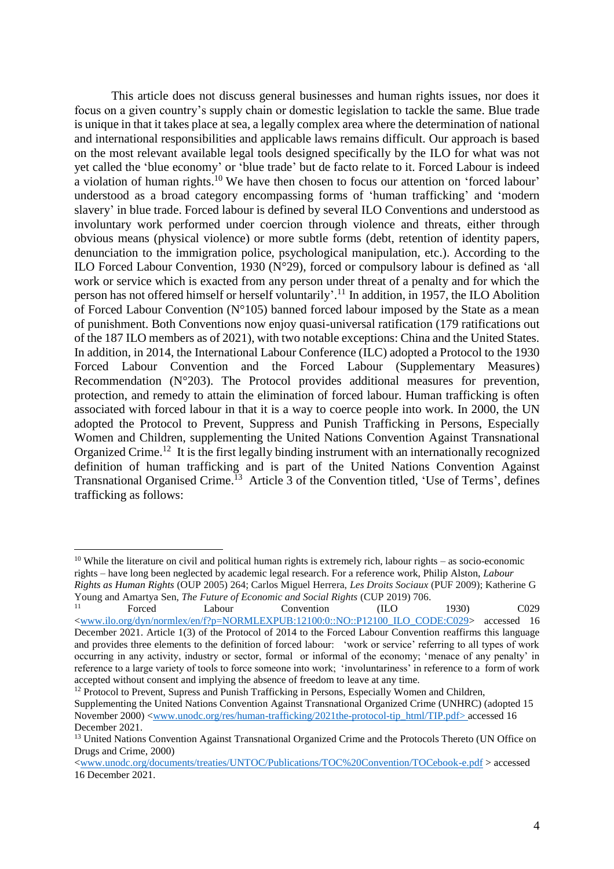This article does not discuss general businesses and human rights issues, nor does it focus on a given country's supply chain or domestic legislation to tackle the same. Blue trade is unique in that it takes place at sea, a legally complex area where the determination of national and international responsibilities and applicable laws remains difficult. Our approach is based on the most relevant available legal tools designed specifically by the ILO for what was not yet called the 'blue economy' or 'blue trade' but de facto relate to it. Forced Labour is indeed a violation of human rights.<sup>10</sup> We have then chosen to focus our attention on 'forced labour' understood as a broad category encompassing forms of 'human trafficking' and 'modern slavery' in blue trade. Forced labour is defined by several ILO Conventions and understood as involuntary work performed under coercion through violence and threats, either through obvious means (physical violence) or more subtle forms (debt, retention of identity papers, denunciation to the immigration police, psychological manipulation, etc.). According to the ILO Forced Labour Convention, 1930 (N°29), forced or compulsory labour is defined as 'all work or service which is exacted from any person under threat of a penalty and for which the person has not offered himself or herself voluntarily'. <sup>11</sup> In addition, in 1957, the ILO Abolition of Forced Labour Convention ( $N^{\circ}105$ ) banned forced labour imposed by the State as a mean of punishment. Both Conventions now enjoy quasi-universal ratification (179 ratifications out of the 187 ILO members as of 2021), with two notable exceptions: China and the United States. In addition, in 2014, the International Labour Conference (ILC) adopted a Protocol to the 1930 Forced Labour Convention and the Forced Labour (Supplementary Measures) Recommendation ( $N^{\circ}203$ ). The Protocol provides additional measures for prevention, protection, and remedy to attain the elimination of forced labour. Human trafficking is often associated with forced labour in that it is a way to coerce people into work. In 2000, the UN adopted the Protocol to Prevent, Suppress and Punish Trafficking in Persons, Especially Women and Children, supplementing the United Nations Convention Against Transnational Organized Crime.<sup>12</sup> It is the first legally binding instrument with an internationally recognized definition of human trafficking and is part of the United Nations Convention Against Transnational Organised Crime.<sup>13</sup> Article 3 of the Convention titled, 'Use of Terms', defines trafficking as follows:

 $\overline{a}$ 

<sup>12</sup> Protocol to Prevent, Supress and Punish Trafficking in Persons, Especially Women and Children,

<sup>&</sup>lt;sup>10</sup> While the literature on civil and political human rights is extremely rich, labour rights – as socio-economic rights – have long been neglected by academic legal research. For a reference work, Philip Alston, *Labour Rights as Human Rights* (OUP 2005) 264; Carlos Miguel Herrera, *Les Droits Sociaux* (PUF 2009); Katherine G Young and Amartya Sen, *The Future of Economic and Social Rights* (CUP 2019) 706.

<sup>11</sup> Forced Labour Convention (ILO 1930) C029 [<www.ilo.org/dyn/normlex/en/f?p=NORMLEXPUB:12100:0::NO::P12100\\_ILO\\_CODE:C029>](http://www.ilo.org/dyn/normlex/en/f?p=NORMLEXPUB:12100:0::NO::P12100_ILO_CODE:C029) accessed 16 December 2021. Article 1(3) of the Protocol of 2014 to the Forced Labour Convention reaffirms this language and provides three elements to the definition of forced labour: 'work or service' referring to all types of work occurring in any activity, industry or sector, formal or informal of the economy; 'menace of any penalty' in reference to a large variety of tools to force someone into work; 'involuntariness' in reference to a form of work accepted without consent and implying the absence of freedom to leave at any time.

Supplementing the United Nations Convention Against Transnational Organized Crime (UNHRC) (adopted 15 November 2000) [<www.unodc.org/res/human-trafficking/2021the-protocol-tip\\_html/TIP.pdf>](http://www.unodc.org/res/human-trafficking/2021the-protocol-tip_html/TIP.pdf) accessed 16 December 2021.

<sup>&</sup>lt;sup>13</sup> United Nations Convention Against Transnational Organized Crime and the Protocols Thereto (UN Office on Drugs and Crime, 2000)

[<sup>&</sup>lt;www.unodc.org/documents/treaties/UNTOC/Publications/TOC%20Convention/TOCebook-e.pdf](http://www.unodc.org/documents/treaties/UNTOC/Publications/TOC%20Convention/TOCebook-e.pdf) > accessed 16 December 2021.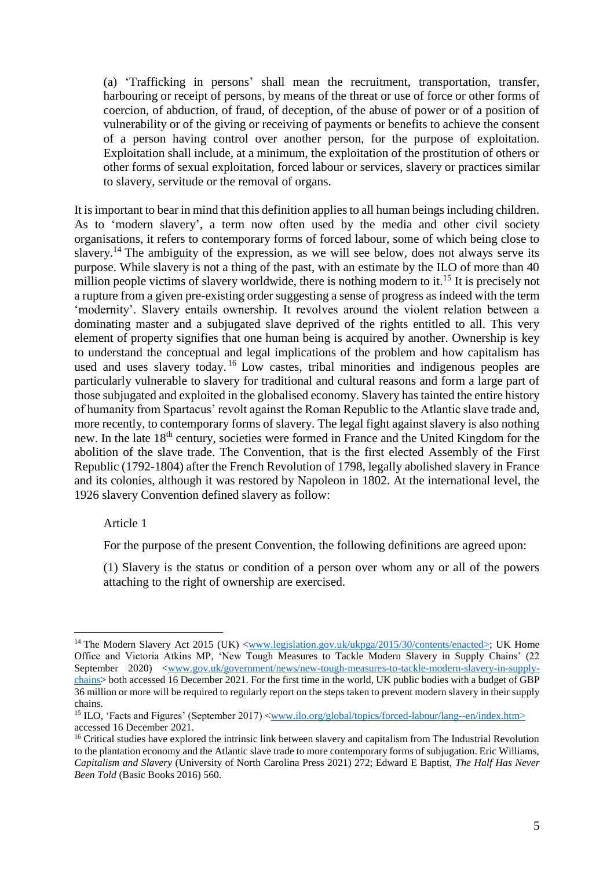(a) 'Trafficking in persons' shall mean the recruitment, transportation, transfer, harbouring or receipt of persons, by means of the threat or use of force or other forms of coercion, of abduction, of fraud, of deception, of the abuse of power or of a position of vulnerability or of the giving or receiving of payments or benefits to achieve the consent of a person having control over another person, for the purpose of exploitation. Exploitation shall include, at a minimum, the exploitation of the prostitution of others or other forms of sexual exploitation, forced labour or services, slavery or practices similar to slavery, servitude or the removal of organs.

It is important to bear in mind that this definition applies to all human beings including children. As to 'modern slavery', a term now often used by the media and other civil society organisations, it refers to contemporary forms of forced labour, some of which being close to slavery.<sup>14</sup> The ambiguity of the expression, as we will see below, does not always serve its purpose. While slavery is not a thing of the past, with an estimate by the ILO of more than 40 million people victims of slavery worldwide, there is nothing modern to it.<sup>15</sup> It is precisely not a rupture from a given pre-existing order suggesting a sense of progress as indeed with the term 'modernity'. Slavery entails ownership. It revolves around the violent relation between a dominating master and a subjugated slave deprived of the rights entitled to all. This very element of property signifies that one human being is acquired by another. Ownership is key to understand the conceptual and legal implications of the problem and how capitalism has used and uses slavery today.<sup>16</sup> Low castes, tribal minorities and indigenous peoples are particularly vulnerable to slavery for traditional and cultural reasons and form a large part of those subjugated and exploited in the globalised economy. Slavery has tainted the entire history of humanity from Spartacus' revolt against the Roman Republic to the Atlantic slave trade and, more recently, to contemporary forms of slavery. The legal fight against slavery is also nothing new. In the late 18<sup>th</sup> century, societies were formed in France and the United Kingdom for the abolition of the slave trade. The Convention, that is the first elected Assembly of the First Republic (1792-1804) after the French Revolution of 1798, legally abolished slavery in France and its colonies, although it was restored by Napoleon in 1802. At the international level, the 1926 slavery Convention defined slavery as follow:

#### Article 1

 $\overline{a}$ 

For the purpose of the present Convention, the following definitions are agreed upon:

(1) Slavery is the status or condition of a person over whom any or all of the powers attaching to the right of ownership are exercised.

<sup>&</sup>lt;sup>14</sup> The Modern Slavery Act 2015 (UK) [<www.legislation.gov.uk/ukpga/2015/30/contents/enacted>](http://www.legislation.gov.uk/ukpga/2015/30/contents/enacted); UK Home Office and Victoria Atkins MP, 'New Tough Measures to Tackle Modern Slavery in Supply Chains' (22 September 2020) [<www.gov.uk/government/news/new-tough-measures-to-tackle-modern-slavery-in-supply](http://www.gov.uk/government/news/new-tough-measures-to-tackle-modern-slavery-in-supply-chains)[chains>](http://www.gov.uk/government/news/new-tough-measures-to-tackle-modern-slavery-in-supply-chains) both accessed 16 December 2021. For the first time in the world, UK public bodies with a budget of GBP 36 million or more will be required to regularly report on the steps taken to prevent modern slavery in their supply chains.

<sup>&</sup>lt;sup>15</sup> ILO, 'Facts and Figures' (September 2017) [<www.ilo.org/global/topics/forced-labour/lang--en/index.htm>](http://www.ilo.org/global/topics/forced-labour/lang--en/index.htm) accessed 16 December 2021.

<sup>&</sup>lt;sup>16</sup> Critical studies have explored the intrinsic link between slavery and capitalism from The Industrial Revolution to the plantation economy and the Atlantic slave trade to more contemporary forms of subjugation. Eric Williams, *Capitalism and Slavery* (University of North Carolina Press 2021) 272; Edward E Baptist, *The Half Has Never Been Told* (Basic Books 2016) 560.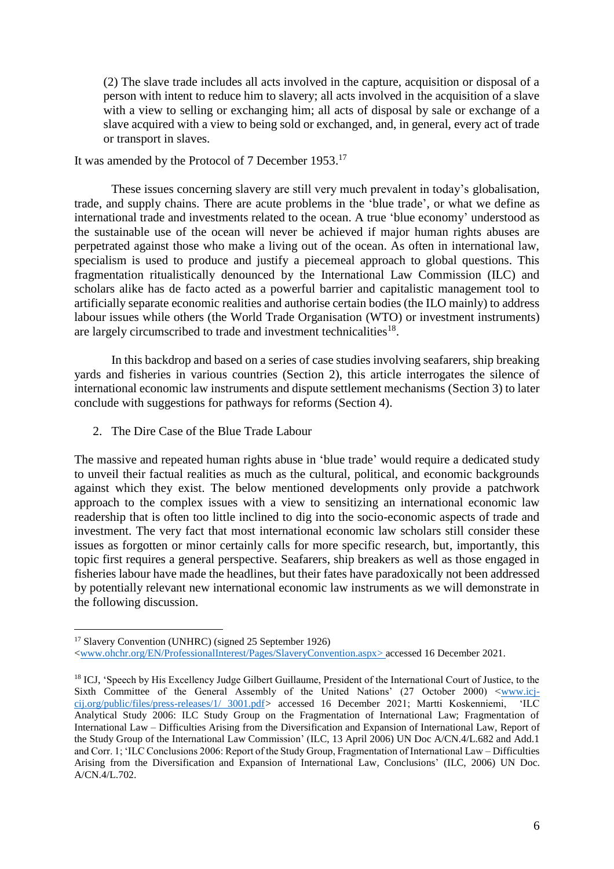(2) The slave trade includes all acts involved in the capture, acquisition or disposal of a person with intent to reduce him to slavery; all acts involved in the acquisition of a slave with a view to selling or exchanging him; all acts of disposal by sale or exchange of a slave acquired with a view to being sold or exchanged, and, in general, every act of trade or transport in slaves.

## It was amended by the Protocol of 7 December 1953.<sup>17</sup>

These issues concerning slavery are still very much prevalent in today's globalisation, trade, and supply chains. There are acute problems in the 'blue trade', or what we define as international trade and investments related to the ocean. A true 'blue economy' understood as the sustainable use of the ocean will never be achieved if major human rights abuses are perpetrated against those who make a living out of the ocean. As often in international law, specialism is used to produce and justify a piecemeal approach to global questions. This fragmentation ritualistically denounced by the International Law Commission (ILC) and scholars alike has de facto acted as a powerful barrier and capitalistic management tool to artificially separate economic realities and authorise certain bodies (the ILO mainly) to address labour issues while others (the World Trade Organisation (WTO) or investment instruments) are largely circumscribed to trade and investment technicalities<sup>18</sup>.

In this backdrop and based on a series of case studies involving seafarers, ship breaking yards and fisheries in various countries (Section 2), this article interrogates the silence of international economic law instruments and dispute settlement mechanisms (Section 3) to later conclude with suggestions for pathways for reforms (Section 4).

2. The Dire Case of the Blue Trade Labour

The massive and repeated human rights abuse in 'blue trade' would require a dedicated study to unveil their factual realities as much as the cultural, political, and economic backgrounds against which they exist. The below mentioned developments only provide a patchwork approach to the complex issues with a view to sensitizing an international economic law readership that is often too little inclined to dig into the socio-economic aspects of trade and investment. The very fact that most international economic law scholars still consider these issues as forgotten or minor certainly calls for more specific research, but, importantly, this topic first requires a general perspective. Seafarers, ship breakers as well as those engaged in fisheries labour have made the headlines, but their fates have paradoxically not been addressed by potentially relevant new international economic law instruments as we will demonstrate in the following discussion.

 $\overline{a}$ <sup>17</sup> Slavery Convention (UNHRC) (signed 25 September 1926)

[<sup>&</sup>lt;www.ohchr.org/EN/ProfessionalInterest/Pages/SlaveryConvention.aspx>](http://www.ohchr.org/EN/ProfessionalInterest/Pages/SlaveryConvention.aspx) accessed 16 December 2021.

<sup>&</sup>lt;sup>18</sup> ICJ, 'Speech by His Excellency Judge Gilbert Guillaume, President of the International Court of Justice, to the Sixth Committee of the General Assembly of the United Nations' (27 October 2000) [<www.icj](http://www.icj-cij.org/public/files/press-releases/1/%203001.pdf)[cij.org/public/files/press-releases/1/ 3001.pdf](http://www.icj-cij.org/public/files/press-releases/1/%203001.pdf)*>* accessed 16 December 2021; Martti Koskenniemi, 'ILC Analytical Study 2006: ILC Study Group on the Fragmentation of International Law; Fragmentation of International Law – Difficulties Arising from the Diversification and Expansion of International Law, Report of the Study Group of the International Law Commission' (ILC, 13 April 2006) UN Doc A/CN.4/L.682 and Add.1 and Corr. 1; 'ILC Conclusions 2006: Report of the Study Group, Fragmentation of International Law – Difficulties Arising from the Diversification and Expansion of International Law, Conclusions' (ILC, 2006) UN Doc. A/CN.4/L.702.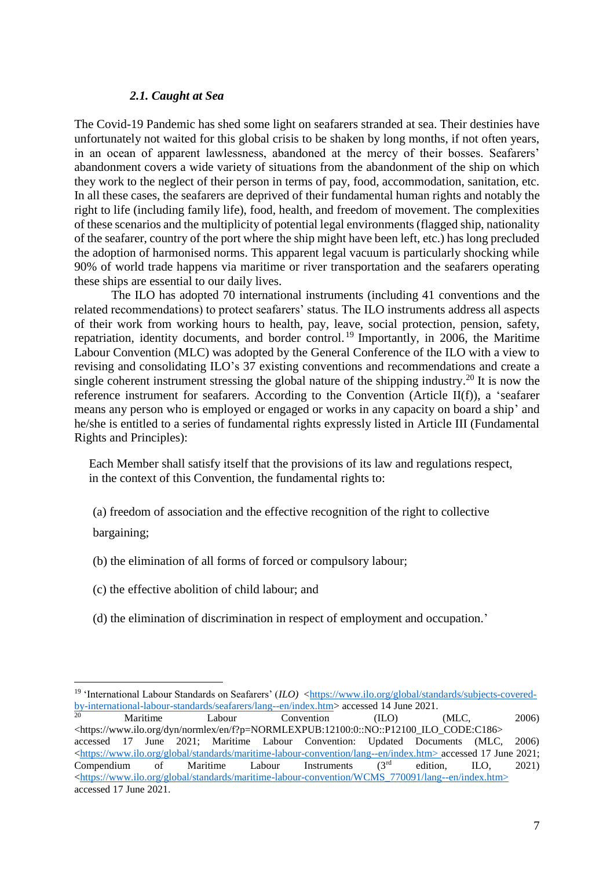#### *2.1. Caught at Sea*

The Covid-19 Pandemic has shed some light on seafarers stranded at sea. Their destinies have unfortunately not waited for this global crisis to be shaken by long months, if not often years, in an ocean of apparent lawlessness, abandoned at the mercy of their bosses. Seafarers' abandonment covers a wide variety of situations from the abandonment of the ship on which they work to the neglect of their person in terms of pay, food, accommodation, sanitation, etc. In all these cases, the seafarers are deprived of their fundamental human rights and notably the right to life (including family life), food, health, and freedom of movement. The complexities of these scenarios and the multiplicity of potential legal environments (flagged ship, nationality of the seafarer, country of the port where the ship might have been left, etc.) has long precluded the adoption of harmonised norms. This apparent legal vacuum is particularly shocking while 90% of world trade happens via maritime or river transportation and the seafarers operating these ships are essential to our daily lives.

The ILO has adopted 70 international instruments (including 41 conventions and the related recommendations) to protect seafarers' status. The ILO instruments address all aspects of their work from working hours to health, pay, leave, social protection, pension, safety, repatriation, identity documents, and border control.<sup>19</sup> Importantly, in 2006, the Maritime Labour Convention (MLC) was adopted by the General Conference of the ILO with a view to revising and consolidating ILO's 37 existing conventions and recommendations and create a single coherent instrument stressing the global nature of the shipping industry.<sup>20</sup> It is now the reference instrument for seafarers. According to the Convention (Article II(f)), a 'seafarer means any person who is employed or engaged or works in any capacity on board a ship' and he/she is entitled to a series of fundamental rights expressly listed in Article III (Fundamental Rights and Principles):

Each Member shall satisfy itself that the provisions of its law and regulations respect, in the context of this Convention, the fundamental rights to:

(a) freedom of association and the effective recognition of the right to collective

bargaining;

 $\overline{a}$ 

(b) the elimination of all forms of forced or compulsory labour;

- (c) the effective abolition of child labour; and
- (d) the elimination of discrimination in respect of employment and occupation.'

<sup>&</sup>lt;sup>19</sup> 'International Labour Standards on Seafarers' (*ILO*) [<https://www.ilo.org/global/standards/subjects-covered](https://www.ilo.org/global/standards/subjects-covered-by-international-labour-standards/seafarers/lang--en/index.htm)[by-international-labour-standards/seafarers/lang--en/index.htm>](https://www.ilo.org/global/standards/subjects-covered-by-international-labour-standards/seafarers/lang--en/index.htm) accessed 14 June 2021.

<sup>&</sup>lt;sup>20</sup> Maritime Labour Convention (ILO) (MLC, <sup>2006</sup>) <https://www.ilo.org/dyn/normlex/en/f?p=NORMLEXPUB:12100:0::NO::P12100\_ILO\_CODE:C186> accessed 17 June 2021; Maritime Labour Convention: Updated Documents (MLC, 2006) [<https://www.ilo.org/global/standards/maritime-labour-convention/lang--en/index.htm>](https://www.ilo.org/global/standards/maritime-labour-convention/lang--en/index.htm) accessed 17 June 2021; Compendium of Maritime Labour Instruments  $(3^{rd}$  edition, ILO, 2021) [<https://www.ilo.org/global/standards/maritime-labour-convention/WCMS\\_770091/lang--en/index.htm>](https://www.ilo.org/global/standards/maritime-labour-convention/WCMS_770091/lang--en/index.htm) accessed 17 June 2021.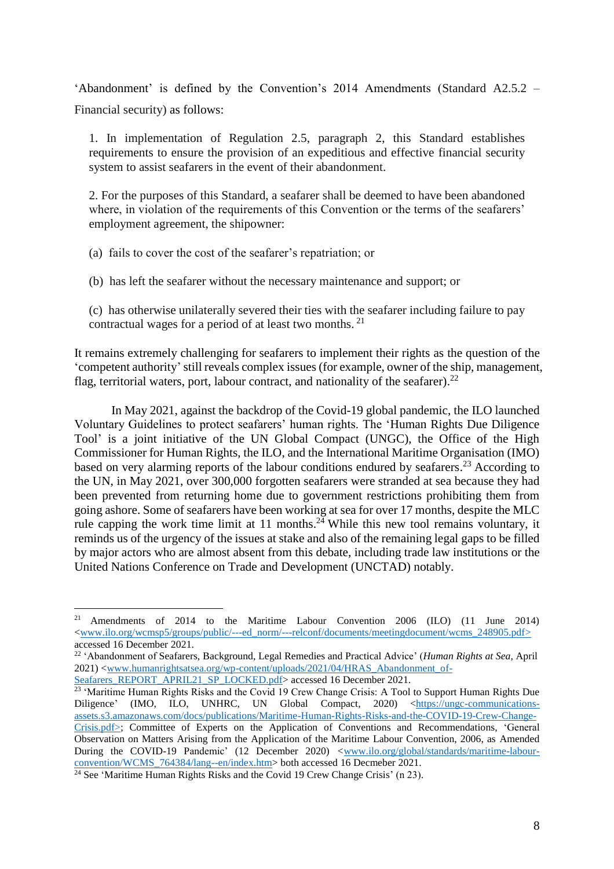'Abandonment' is defined by the Convention's 2014 Amendments (Standard A2.5.2 – Financial security) as follows:

1. In implementation of Regulation 2.5, paragraph 2, this Standard establishes requirements to ensure the provision of an expeditious and effective financial security system to assist seafarers in the event of their abandonment.

2. For the purposes of this Standard, a seafarer shall be deemed to have been abandoned where, in violation of the requirements of this Convention or the terms of the seafarers' employment agreement, the shipowner:

(a) fails to cover the cost of the seafarer's repatriation; or

(b) has left the seafarer without the necessary maintenance and support; or

(c) has otherwise unilaterally severed their ties with the seafarer including failure to pay contractual wages for a period of at least two months. <sup>21</sup>

It remains extremely challenging for seafarers to implement their rights as the question of the 'competent authority'still reveals complex issues (for example, owner of the ship, management, flag, territorial waters, port, labour contract, and nationality of the seafarer).<sup>22</sup>

In May 2021, against the backdrop of the Covid-19 global pandemic, the ILO launched Voluntary Guidelines to protect seafarers' human rights. The 'Human Rights Due Diligence Tool' is a joint initiative of the UN Global Compact (UNGC), the Office of the High Commissioner for Human Rights, the ILO, and the International Maritime Organisation (IMO) based on very alarming reports of the labour conditions endured by seafarers.<sup>23</sup> According to the UN, in May 2021, over 300,000 forgotten seafarers were stranded at sea because they had been prevented from returning home due to government restrictions prohibiting them from going ashore. Some of seafarers have been working at sea for over 17 months, despite the MLC rule capping the work time limit at 11 months.<sup>24</sup> While this new tool remains voluntary, it reminds us of the urgency of the issues at stake and also of the remaining legal gaps to be filled by major actors who are almost absent from this debate, including trade law institutions or the United Nations Conference on Trade and Development (UNCTAD) notably.

<sup>&</sup>lt;sup>21</sup> Amendments of 2014 to the Maritime Labour Convention 2006 (ILO) (11 June 2014) [<www.ilo.org/wcmsp5/groups/public/---ed\\_norm/---relconf/documents/meetingdocument/wcms\\_248905.pdf>](http://www.ilo.org/wcmsp5/groups/public/---ed_norm/---relconf/documents/meetingdocument/wcms_248905.pdf) accessed 16 December 2021.

<sup>22</sup> 'Abandonment of Seafarers, Background, Legal Remedies and Practical Advice' (*Human Rights at Sea,* April 2021) [<www.humanrightsatsea.org/wp-content/uploads/2021/04/HRAS\\_Abandonment\\_of-](http://www.humanrightsatsea.org/wp-content/uploads/2021/04/HRAS_Abandonment_of-Seafarers_REPORT_APRIL21_SP_LOCKED.pdf)[Seafarers\\_REPORT\\_APRIL21\\_SP\\_LOCKED.pdf>](http://www.humanrightsatsea.org/wp-content/uploads/2021/04/HRAS_Abandonment_of-Seafarers_REPORT_APRIL21_SP_LOCKED.pdf) accessed 16 December 2021.

<sup>&</sup>lt;sup>23</sup> 'Maritime Human Rights Risks and the Covid 19 Crew Change Crisis: A Tool to Support Human Rights Due Diligence' (IMO, ILO, UNHRC, UN Global Compact, 2020) [<https://ungc-communications](https://ungc-communications-assets.s3.amazonaws.com/docs/publications/Maritime-Human-Rights-Risks-and-the-COVID-19-Crew-Change-Crisis.pdf)[assets.s3.amazonaws.com/docs/publications/Maritime-Human-Rights-Risks-and-the-COVID-19-Crew-Change-](https://ungc-communications-assets.s3.amazonaws.com/docs/publications/Maritime-Human-Rights-Risks-and-the-COVID-19-Crew-Change-Crisis.pdf)[Crisis.pdf>](https://ungc-communications-assets.s3.amazonaws.com/docs/publications/Maritime-Human-Rights-Risks-and-the-COVID-19-Crew-Change-Crisis.pdf); Committee of Experts on the Application of Conventions and Recommendations, 'General Observation on Matters Arising from the Application of the Maritime Labour Convention, 2006, as Amended During the COVID-19 Pandemic' (12 December 2020) <[www.ilo.org/global/standards/maritime-labour](https://www.ilo.org/global/standards/maritime-labour-convention/WCMS_764384/lang--en/index.htm)convention/WCMS 764384/lang--en/index.htm> both accessed 16 Decmeber 2021.

 $24$  See 'Maritime Human Rights Risks and the Covid 19 Crew Change Crisis' (n 23).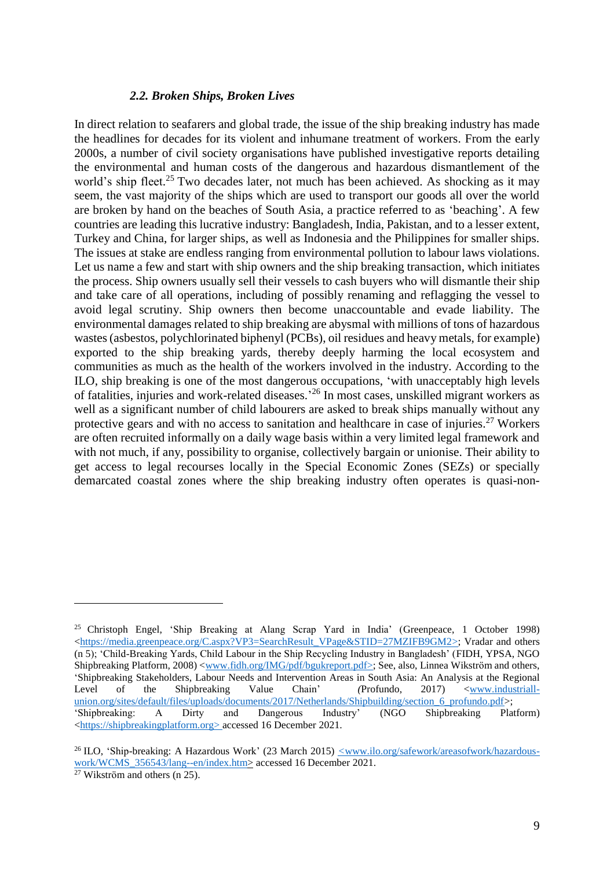#### *2.2. Broken Ships, Broken Lives*

In direct relation to seafarers and global trade, the issue of the ship breaking industry has made the headlines for decades for its violent and inhumane treatment of workers. From the early 2000s, a number of civil society organisations have published investigative reports detailing the environmental and human costs of the dangerous and hazardous dismantlement of the world's ship fleet.<sup>25</sup> Two decades later, not much has been achieved. As shocking as it may seem, the vast majority of the ships which are used to transport our goods all over the world are broken by hand on the beaches of South Asia, a practice referred to as 'beaching'. A few countries are leading this lucrative industry: Bangladesh, India, Pakistan, and to a lesser extent, Turkey and China, for larger ships, as well as Indonesia and the Philippines for smaller ships. The issues at stake are endless ranging from environmental pollution to labour laws violations. Let us name a few and start with ship owners and the ship breaking transaction, which initiates the process. Ship owners usually sell their vessels to cash buyers who will dismantle their ship and take care of all operations, including of possibly renaming and reflagging the vessel to avoid legal scrutiny. Ship owners then become unaccountable and evade liability. The environmental damages related to ship breaking are abysmal with millions of tons of hazardous wastes (asbestos, polychlorinated biphenyl (PCBs), oil residues and heavy metals, for example) exported to the ship breaking yards, thereby deeply harming the local ecosystem and communities as much as the health of the workers involved in the industry. According to the ILO, ship breaking is one of the most dangerous occupations, 'with unacceptably high levels of fatalities, injuries and work-related diseases.<sup>26</sup> In most cases, unskilled migrant workers as well as a significant number of child labourers are asked to break ships manually without any protective gears and with no access to sanitation and healthcare in case of injuries.<sup>27</sup> Workers are often recruited informally on a daily wage basis within a very limited legal framework and with not much, if any, possibility to organise, collectively bargain or unionise. Their ability to get access to legal recourses locally in the Special Economic Zones (SEZs) or specially demarcated coastal zones where the ship breaking industry often operates is quasi-non-

<sup>&</sup>lt;sup>25</sup> Christoph Engel, 'Ship Breaking at Alang Scrap Yard in India' (Greenpeace, 1 October 1998) [<https://media.greenpeace.org/C.aspx?VP3=SearchResult\\_VPage&STID=27MZIFB9GM2>](https://media.greenpeace.org/C.aspx?VP3=SearchResult_VPage&STID=27MZIFB9GM2); Vradar and others (n 5); 'Child-Breaking Yards, Child Labour in the Ship Recycling Industry in Bangladesh' (FIDH, YPSA, NGO Shipbreaking Platform*,* 2008) [<www.fidh.org/IMG/pdf/bgukreport.pdf>](http://www.fidh.org/IMG/pdf/bgukreport.pdf); See, also, Linnea Wikström and others, 'Shipbreaking Stakeholders, Labour Needs and Intervention Areas in South Asia: An Analysis at the Regional Level of the Shipbreaking Value Chain' *(*Profundo, 2017) [<www.industriall](http://www.industriall-union.org/sites/default/files/uploads/documents/2017/Netherlands/Shipbuilding/section_6_profundo.pdf)union.org/sites/default/files/uploads/documents/2017/Netherlands/Shipbuilding/section 6 profundo.pdf>;<br>
'Shipbreaking: A Dirty and Dangerous Industry' (NGO Shipbreaking Plat 'Shipbreaking: A Dirty and Dangerous Industry' (NGO Shipbreaking Platform) [<https://shipbreakingplatform.org>](https://shipbreakingplatform.org/) accessed 16 December 2021.

<sup>&</sup>lt;sup>26</sup> ILO, 'Ship-breaking: A Hazardous Work' (23 March 2015) <u><www.ilo.org/safework/areasofwork/hazardous-</u> work/WCMS\_356543/lang--en/index.htm> accessed 16 December 2021.

 $27$  Wikström and others (n 25).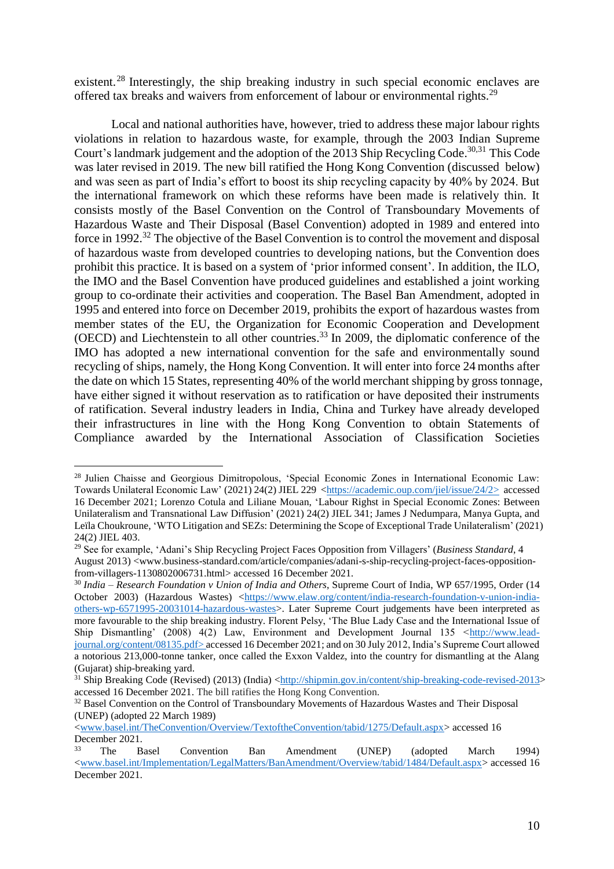existent.<sup>28</sup> Interestingly, the ship breaking industry in such special economic enclaves are offered tax breaks and waivers from enforcement of labour or environmental rights.<sup>29</sup>

Local and national authorities have, however, tried to address these major labour rights violations in relation to hazardous waste, for example, through the 2003 Indian Supreme Court's landmark judgement and the adoption of the 2013 Ship Recycling Code. 30,31 This Code was later revised in 2019. The new bill ratified the Hong Kong Convention (discussed below) and was seen as part of India's effort to boost its ship recycling capacity by 40% by 2024. But the international framework on which these reforms have been made is relatively thin. It consists mostly of the Basel Convention on the Control of Transboundary Movements of Hazardous Waste and Their Disposal (Basel Convention) adopted in 1989 and entered into force in 1992.<sup>32</sup> The objective of the Basel Convention is to control the movement and disposal of hazardous waste from developed countries to developing nations, but the Convention does prohibit this practice. It is based on a system of 'prior informed consent'. In addition, the ILO, the IMO and the Basel Convention have produced guidelines and established a joint working group to co-ordinate their activities and cooperation. The Basel Ban Amendment, adopted in 1995 and entered into force on December 2019, prohibits the export of hazardous wastes from member states of the EU, the Organization for Economic Cooperation and Development (OECD) and Liechtenstein to all other countries.<sup>33</sup> In 2009, the diplomatic conference of the IMO has adopted a new international convention for the safe and environmentally sound recycling of ships, namely, the Hong Kong Convention. It will enter into force 24 months after the date on which 15 States, representing 40% of the world merchant shipping by gross tonnage, have either signed it without reservation as to ratification or have deposited their instruments of ratification. Several industry leaders in India, China and Turkey have already developed their infrastructures in line with the Hong Kong Convention to obtain Statements of Compliance awarded by the International Association of Classification Societies

<sup>&</sup>lt;sup>28</sup> Julien Chaisse and Georgious Dimitropolous, 'Special Economic Zones in International Economic Law: Towards Unilateral Economic Law' (2021) 24(2) JIEL 229 [<https://academic.oup.com/jiel/issue/24/2>](https://academic.oup.com/jiel/issue/24/2) accessed 16 December 2021; [Lorenzo](https://academic.oup.com/jiel/search-results?f_Authors=Lorenzo+Cotula) Cotula and Liliane [Mouan,](https://academic.oup.com/jiel/search-results?f_Authors=Liliane+Mouan) 'Labour Righst in Special Economic Zones: Between Unilateralism and Transnational Law Diffusion' (2021) 24(2) JIEL 341; James J [Nedumpara,](https://academic.oup.com/jiel/search-results?f_Authors=James+J+Nedumpara) [Manya](https://academic.oup.com/jiel/search-results?f_Authors=Manya+Gupta) Gupta, [and](https://academic.oup.com/jiel/search-results?f_Authors=Le%c3%afla+Choukroune) Leïla [Choukroune,](https://academic.oup.com/jiel/search-results?f_Authors=Le%c3%afla+Choukroune) 'WTO Litigation and SEZs: Determining the Scope of Exceptional Trade Unilateralism' (2021) 24(2) JIEL 403.

<sup>&</sup>lt;sup>29</sup> See for example, 'Adani's Ship Recycling Project Faces Opposition from Villagers' (*Business Standard*, 4 August 2013) <www.business-standard.com/article/companies/adani-s-ship-recycling-project-faces-oppositionfrom-villagers-1130802006731.html> accessed 16 December 2021.

<sup>30</sup> *India – Research Foundation v Union of India and Others*, Supreme Court of India, WP 657/1995, Order (14 October 2003) (Hazardous Wastes) [<https://www.elaw.org/content/india-research-foundation-v-union-india](https://www.elaw.org/content/india-research-foundation-v-union-india-others-wp-6571995-20031014-hazardous-wastes)[others-wp-6571995-20031014-hazardous-wastes>](https://www.elaw.org/content/india-research-foundation-v-union-india-others-wp-6571995-20031014-hazardous-wastes). Later Supreme Court judgements have been interpreted as more favourable to the ship breaking industry. Florent Pelsy, 'The Blue Lady Case and the International Issue of Ship Dismantling' (2008) 4(2) Law, Environment and Development Journal 135  $\lt$ http://www.lead[journal.org/content/08135.pdf>](http://www.lead-journal.org/content/08135.pdf) accessed 16 December 2021; and on 30 July 2012, India's Supreme Court allowed a notorious 213,000-tonne tanker, once called the Exxon Valdez, into the country for dismantling at the Alang (Gujarat) ship-breaking yard.

<sup>&</sup>lt;sup>31</sup> Ship Breaking Code (Revised) (2013) (India) [<http://shipmin.gov.in/content/ship-breaking-code-revised-2013>](http://shipmin.gov.in/content/ship-breaking-code-revised-2013) accessed 16 December 2021. The bill ratifies the Hong Kong Convention.

<sup>&</sup>lt;sup>32</sup> Basel Convention on the Control of Transboundary Movements of Hazardous Wastes and Their Disposal (UNEP) (adopted 22 March 1989)

[<sup>&</sup>lt;www.basel.int/TheConvention/Overview/TextoftheConvention/tabid/1275/Default.aspx>](http://www.basel.int/TheConvention/Overview/TextoftheConvention/tabid/1275/Default.aspx) accessed 16 December 2021.

<sup>33</sup> The Basel Convention Ban Amendment (UNEP) (adopted March 1994) [<www.basel.int/Implementation/LegalMatters/BanAmendment/Overview/tabid/1484/Default.aspx>](http://www.basel.int/Implementation/LegalMatters/BanAmendment/Overview/tabid/1484/Default.aspx) accessed 16 December 2021.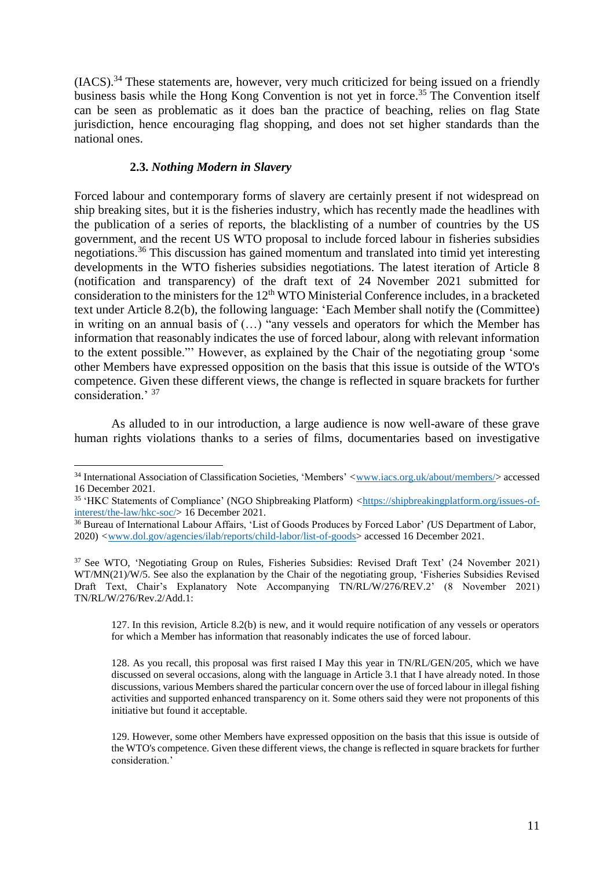$(IACS).$ <sup>34</sup> These statements are, however, very much criticized for being issued on a friendly business basis while the Hong Kong Convention is not yet in force. <sup>35</sup> The Convention itself can be seen as problematic as it does ban the practice of beaching, relies on flag State jurisdiction, hence encouraging flag shopping, and does not set higher standards than the national ones.

## **2.3.** *Nothing Modern in Slavery*

 $\overline{a}$ 

Forced labour and contemporary forms of slavery are certainly present if not widespread on ship breaking sites, but it is the fisheries industry, which has recently made the headlines with the publication of a series of reports, the blacklisting of a number of countries by the US government, and the recent US WTO proposal to include forced labour in fisheries subsidies negotiations.<sup>36</sup> This discussion has gained momentum and translated into timid yet interesting developments in the WTO fisheries subsidies negotiations. The latest iteration of Article 8 (notification and transparency) of the draft text of 24 November 2021 submitted for consideration to the ministers for the  $12<sup>th</sup>$  WTO Ministerial Conference includes, in a bracketed text under Article 8.2(b), the following language: 'Each Member shall notify the (Committee) in writing on an annual basis of (…) "any vessels and operators for which the Member has information that reasonably indicates the use of forced labour, along with relevant information to the extent possible."' However, as explained by the Chair of the negotiating group 'some other Members have expressed opposition on the basis that this issue is outside of the WTO's competence. Given these different views, the change is reflected in square brackets for further consideration.' <sup>37</sup>

As alluded to in our introduction, a large audience is now well-aware of these grave human rights violations thanks to a series of films, documentaries based on investigative

127. In this revision, Article 8.2(b) is new, and it would require notification of any vessels or operators for which a Member has information that reasonably indicates the use of forced labour.

<sup>34</sup> International Association of Classification Societies, 'Members' *<*[www.iacs.org.uk/about/members/>](http://www.iacs.org.uk/about/members/) accessed 16 December 2021.

<sup>35</sup> 'HKC Statements of Compliance' (NGO Shipbreaking Platform) *<*[https://shipbreakingplatform.org/issues-of](https://shipbreakingplatform.org/issues-of-interest/the-law/hkc-soc/)[interest/the-law/hkc-soc/>](https://shipbreakingplatform.org/issues-of-interest/the-law/hkc-soc/) 16 December 2021.

<sup>36</sup> Bureau of International Labour Affairs, 'List of Goods Produces by Forced Labor' *(*US Department of Labor, 2020) *<*[www.dol.gov/agencies/ilab/reports/child-labor/list-of-goods>](http://www.dol.gov/agencies/ilab/reports/child-labor/list-of-goods) accessed 16 December 2021.

<sup>37</sup> See WTO, 'Negotiating Group on Rules, Fisheries Subsidies: Revised Draft Text' (24 November 2021) WT/MN(21)/W/5. See also the explanation by the Chair of the negotiating group, 'Fisheries Subsidies Revised Draft Text, Chair's Explanatory Note Accompanying TN/RL/W/276/REV.2' (8 November 2021) TN/RL/W/276/Rev.2/Add.1:

<sup>128.</sup> As you recall, this proposal was first raised I May this year in TN/RL/GEN/205, which we have discussed on several occasions, along with the language in Article 3.1 that I have already noted. In those discussions, various Members shared the particular concern over the use of forced labour in illegal fishing activities and supported enhanced transparency on it. Some others said they were not proponents of this initiative but found it acceptable.

<sup>129.</sup> However, some other Members have expressed opposition on the basis that this issue is outside of the WTO's competence. Given these different views, the change is reflected in square brackets for further consideration.'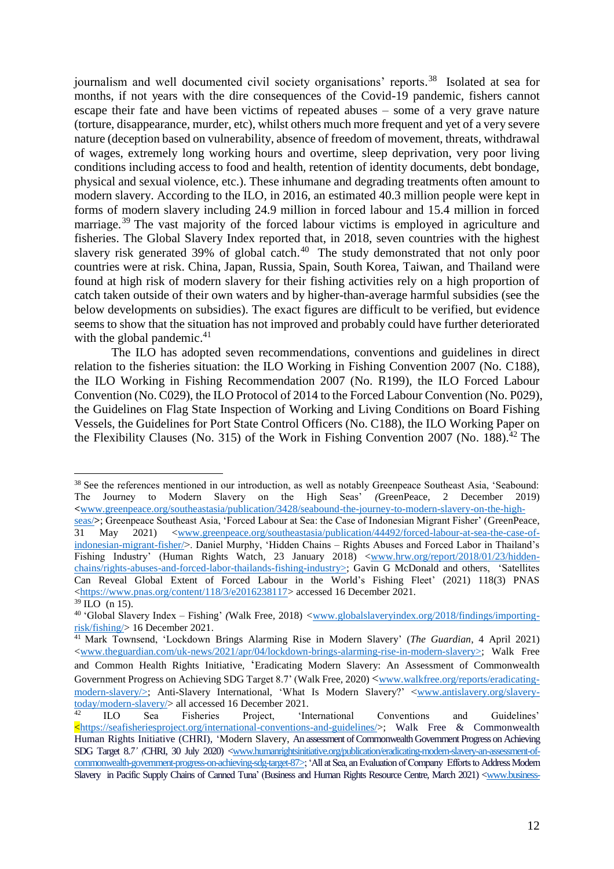journalism and well documented civil society organisations' reports. <sup>38</sup> Isolated at sea for months, if not years with the dire consequences of the Covid-19 pandemic, fishers cannot escape their fate and have been victims of repeated abuses – some of a very grave nature (torture, disappearance, murder, etc), whilst others much more frequent and yet of a very severe nature (deception based on vulnerability, absence of freedom of movement, threats, withdrawal of wages, extremely long working hours and overtime, sleep deprivation, very poor living conditions including access to food and health, retention of identity documents, debt bondage, physical and sexual violence, etc.). These inhumane and degrading treatments often amount to modern slavery. According to the ILO, in 2016, an estimated 40.3 million people were kept in forms of modern slavery including 24.9 million in forced labour and 15.4 million in forced marriage.<sup>39</sup> The vast majority of the forced labour victims is employed in agriculture and fisheries. The Global Slavery Index reported that, in 2018, seven countries with the highest slavery risk generated 39% of global catch.<sup>40</sup> The study demonstrated that not only poor countries were at risk. China, Japan, Russia, Spain, South Korea, Taiwan, and Thailand were found at high risk of modern slavery for their fishing activities rely on a high proportion of catch taken outside of their own waters and by higher-than-average harmful subsidies (see the below developments on subsidies). The exact figures are difficult to be verified, but evidence seems to show that the situation has not improved and probably could have further deteriorated with the global pandemic.<sup>41</sup>

The ILO has adopted seven recommendations, conventions and guidelines in direct relation to the fisheries situation: the ILO Working in Fishing Convention 2007 (No. C188), the ILO Working in Fishing Recommendation 2007 (No. R199), the ILO Forced Labour Convention (No. C029), the ILO Protocol of 2014 to the Forced Labour Convention (No. P029), the Guidelines on Flag State Inspection of Working and Living Conditions on Board Fishing Vessels, the Guidelines for Port State Control Officers (No. C188), the ILO Working Paper on the Flexibility Clauses (No. 315) of the Work in Fishing Convention 2007 (No. 188).<sup>42</sup> The

<sup>&</sup>lt;sup>38</sup> See the references mentioned in our introduction, as well as notably Greenpeace Southeast Asia, 'Seabound: The Journey to Modern Slavery on the High Seas' *(*GreenPeace*,* 2 December 2019) *<*[www.greenpeace.org/southeastasia/publication/3428/seabound-the-journey-to-modern-slavery-on-the-high-](http://www.greenpeace.org/southeastasia/publication/3428/seabound-the-journey-to-modern-slavery-on-the-high-seas/)

[seas/](http://www.greenpeace.org/southeastasia/publication/3428/seabound-the-journey-to-modern-slavery-on-the-high-seas/)**>**; Greenpeace Southeast Asia, 'Forced Labour at Sea: the Case of Indonesian Migrant Fisher' (GreenPeace, 31 May 2021) [<www.greenpeace.org/southeastasia/publication/44492/forced-labour-at-sea-the-case-of](http://www.greenpeace.org/southeastasia/publication/44492/forced-labour-at-sea-the-case-of-indonesian-migrant-fisher/)[indonesian-migrant-fisher/>](http://www.greenpeace.org/southeastasia/publication/44492/forced-labour-at-sea-the-case-of-indonesian-migrant-fisher/). Daniel Murphy, 'Hidden Chains – Rights Abuses and Forced Labor in Thailand's Fishing Industry' (Human Rights Watch, 23 January 2018) [<www.hrw.org/report/2018/01/23/hidden](http://www.hrw.org/report/2018/01/23/hidden-chains/rights-abuses-and-forced-labor-thailands-fishing-industry)[chains/rights-abuses-and-forced-labor-thailands-fishing-industry>](http://www.hrw.org/report/2018/01/23/hidden-chains/rights-abuses-and-forced-labor-thailands-fishing-industry); Gavin G McDonald and others, 'Satellites Can Reveal Global Extent of Forced Labour in the World's Fishing Fleet' (2021) 118(3) PNAS [<https://www.pnas.org/content/118/3/e2016238117>](https://www.pnas.org/content/118/3/e2016238117) accessed 16 December 2021.  $39$  ILO (n 15).

<sup>40</sup> 'Global Slavery Index – Fishing' *(*Walk Free*,* 2018) *<*[www.globalslaveryindex.org/2018/findings/importing](https://www.globalslaveryindex.org/2018/findings/importing-risk/fishing/)[risk/fishing/>](https://www.globalslaveryindex.org/2018/findings/importing-risk/fishing/) 16 December 2021.

<sup>41</sup> Mark Townsend, 'Lockdown Brings Alarming Rise in Modern Slavery' (*The Guardian*, 4 April 2021) [<www.theguardian.com/uk-news/2021/apr/04/lockdown-brings-alarming-rise-in-modern-slavery>](http://www.theguardian.com/uk-news/2021/apr/04/lockdown-brings-alarming-rise-in-modern-slavery); Walk Free and Common Health Rights Initiative, 'Eradicating Modern Slavery: An Assessment of Commonwealth Government Progress on Achieving SDG Target 8.7' (Walk Free, 2020)  $\langle$ [www.walkfree.org/reports/eradicating](http://www.walkfree.org/reports/eradicating-modern-slavery/)[modern-slavery/>](http://www.walkfree.org/reports/eradicating-modern-slavery/); Anti-Slavery International, 'What Is Modern Slavery?' [<www.antislavery.org/slavery](http://www.antislavery.org/slavery-today/modern-slavery/)[today/modern-slavery/>](http://www.antislavery.org/slavery-today/modern-slavery/) all accessed 16 December 2021.

<sup>42</sup> ILO Sea Fisheries Project, 'International Conventions and Guidelines'  $\leq$ https://seafisheriesproject.org/international-conventions-and-guidelines/>; Walk Free & Commonwealth Human Rights Initiative (CHRI), 'Modern Slavery, An assessment of Commonwealth Government Progress on Achieving SDG Target 8.*7' (*CHRI, 30 July 2020) [<www.humanrightsinitiative.org/publication/eradicating-modern-slavery-an-assessment-of](http://www.humanrightsinitiative.org/publication/eradicating-modern-slavery-an-assessment-of-commonwealth-government-progress-on-achieving-sdg-target-87)[commonwealth-government-progress-on-achieving-sdg-target-87>](http://www.humanrightsinitiative.org/publication/eradicating-modern-slavery-an-assessment-of-commonwealth-government-progress-on-achieving-sdg-target-87); 'All at Sea, an Evaluation of Company Efforts to Address Modern Slavery in Pacific Supply Chains of Canned Tuna' (Business and Human Rights Resource Centre, March 2021) [<www.business-](http://www.business-humanrights.org/en/from-us/briefings/all-at-sea-an-evaluation-of-company-efforts-to-address-modern-slavery-in-pacific-supply-chains-of-canned-tuna/)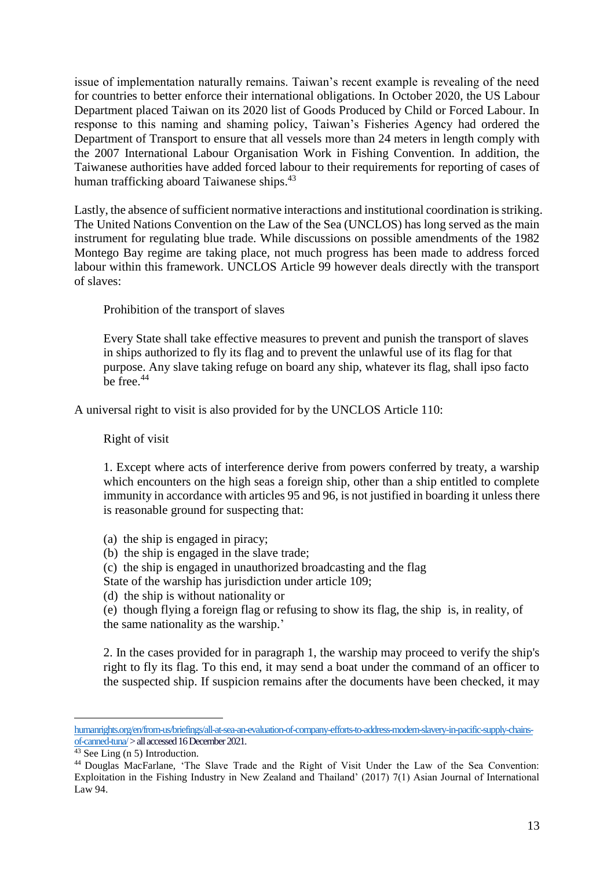issue of implementation naturally remains. Taiwan's recent example is revealing of the need for countries to better enforce their international obligations. In October 2020, the US Labour Department placed Taiwan on its 2020 list of Goods Produced by Child or Forced Labour. In response to this naming and shaming policy, Taiwan's Fisheries Agency had ordered the Department of Transport to ensure that all vessels more than 24 meters in length comply with the 2007 International Labour Organisation Work in Fishing Convention. In addition, the Taiwanese authorities have added forced labour to their requirements for reporting of cases of human trafficking aboard Taiwanese ships.<sup>43</sup>

Lastly, the absence of sufficient normative interactions and institutional coordination is striking. The United Nations Convention on the Law of the Sea (UNCLOS) has long served as the main instrument for regulating blue trade. While discussions on possible amendments of the 1982 Montego Bay regime are taking place, not much progress has been made to address forced labour within this framework. UNCLOS Article 99 however deals directly with the transport of slaves:

Prohibition of the transport of slaves

Every State shall take effective measures to prevent and punish the transport of slaves in ships authorized to fly its flag and to prevent the unlawful use of its flag for that purpose. Any slave taking refuge on board any ship, whatever its flag, shall ipso facto be free.<sup>44</sup>

A universal right to visit is also provided for by the UNCLOS Article 110:

Right of visit

1. Except where acts of interference derive from powers conferred by treaty, a warship which encounters on the high seas a foreign ship, other than a ship entitled to complete immunity in accordance with articles 95 and 96, is not justified in boarding it unless there is reasonable ground for suspecting that:

- (a) the ship is engaged in piracy;
- (b) the ship is engaged in the slave trade;
- (c) the ship is engaged in unauthorized broadcasting and the flag

State of the warship has jurisdiction under article 109;

(d) the ship is without nationality or

(e) though flying a foreign flag or refusing to show its flag, the ship is, in reality, of the same nationality as the warship.'

2. In the cases provided for in paragraph 1, the warship may proceed to verify the ship's right to fly its flag. To this end, it may send a boat under the command of an officer to the suspected ship. If suspicion remains after the documents have been checked, it may

[humanrights.org/en/from-us/briefings/all-at-sea-an-evaluation-of-company-efforts-to-address-modern-slavery-in-pacific-supply-chains](http://www.business-humanrights.org/en/from-us/briefings/all-at-sea-an-evaluation-of-company-efforts-to-address-modern-slavery-in-pacific-supply-chains-of-canned-tuna/)of-canned-tuna/ > all accessed 16 December 2021.

 $43$  See Ling (n 5) Introduction.

<sup>44</sup> Douglas MacFarlane, 'The Slave Trade and the Right of Visit Under the Law of the Sea Convention: Exploitation in the Fishing Industry in New Zealand and Thailand' (2017) 7(1) Asian Journal of International Law 94.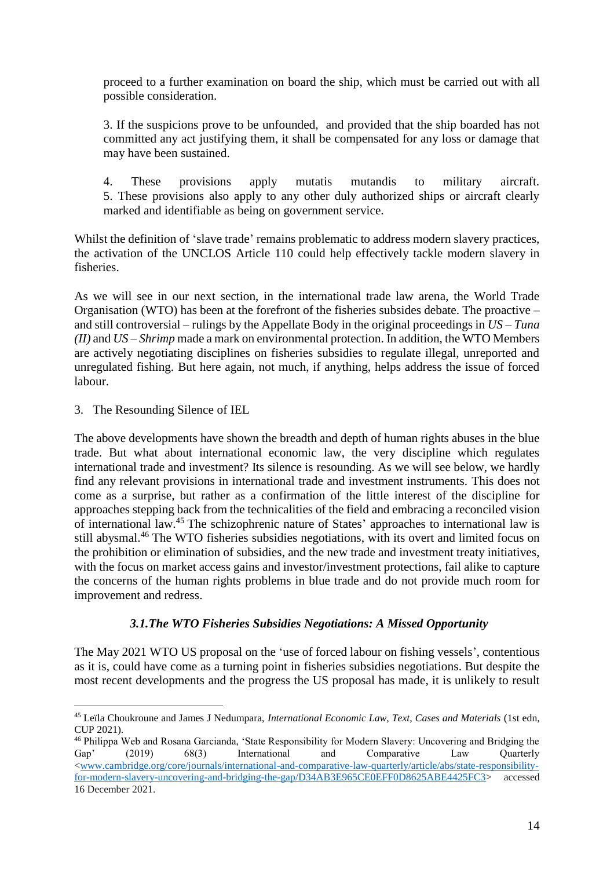proceed to a further examination on board the ship, which must be carried out with all possible consideration.

3. If the suspicions prove to be unfounded, and provided that the ship boarded has not committed any act justifying them, it shall be compensated for any loss or damage that may have been sustained.

4. These provisions apply mutatis mutandis to military aircraft. 5. These provisions also apply to any other duly authorized ships or aircraft clearly marked and identifiable as being on government service.

Whilst the definition of 'slave trade' remains problematic to address modern slavery practices, the activation of the UNCLOS Article 110 could help effectively tackle modern slavery in fisheries.

As we will see in our next section, in the international trade law arena, the World Trade Organisation (WTO) has been at the forefront of the fisheries subsides debate. The proactive – and still controversial – rulings by the Appellate Body in the original proceedings in *US – Tuna (II)* and *US – Shrimp* made a mark on environmental protection. In addition, the WTO Members are actively negotiating disciplines on fisheries subsidies to regulate illegal, unreported and unregulated fishing. But here again, not much, if anything, helps address the issue of forced labour.

3. The Resounding Silence of IEL

 $\overline{a}$ 

The above developments have shown the breadth and depth of human rights abuses in the blue trade. But what about international economic law, the very discipline which regulates international trade and investment? Its silence is resounding. As we will see below, we hardly find any relevant provisions in international trade and investment instruments. This does not come as a surprise, but rather as a confirmation of the little interest of the discipline for approaches stepping back from the technicalities of the field and embracing a reconciled vision of international law. <sup>45</sup> The schizophrenic nature of States' approaches to international law is still abysmal.<sup>46</sup> The WTO fisheries subsidies negotiations, with its overt and limited focus on the prohibition or elimination of subsidies, and the new trade and investment treaty initiatives, with the focus on market access gains and investor/investment protections, fail alike to capture the concerns of the human rights problems in blue trade and do not provide much room for improvement and redress.

## *3.1.The WTO Fisheries Subsidies Negotiations: A Missed Opportunity*

The May 2021 WTO US proposal on the 'use of forced labour on fishing vessels', contentious as it is, could have come as a turning point in fisheries subsidies negotiations. But despite the most recent developments and the progress the US proposal has made, it is unlikely to result

<sup>45</sup> Leïla Choukroune and James J Nedumpara, *International Economic Law, Text, Cases and Materials* (1st edn, CUP 2021).

<sup>46</sup> Philippa Web and Rosana Garcianda, 'State Responsibility for Modern Slavery: Uncovering and Bridging the Gap' (2019) 68(3) International and Comparative Law Quarterly [<www.cambridge.org/core/journals/international-and-comparative-law-quarterly/article/abs/state-responsibility](http://www.cambridge.org/core/journals/international-and-comparative-law-quarterly/article/abs/state-responsibility-for-modern-slavery-uncovering-and-bridging-the-gap/D34AB3E965CE0EFF0D8625ABE4425FC3)[for-modern-slavery-uncovering-and-bridging-the-gap/D34AB3E965CE0EFF0D8625ABE4425FC3>](http://www.cambridge.org/core/journals/international-and-comparative-law-quarterly/article/abs/state-responsibility-for-modern-slavery-uncovering-and-bridging-the-gap/D34AB3E965CE0EFF0D8625ABE4425FC3) accessed 16 December 2021.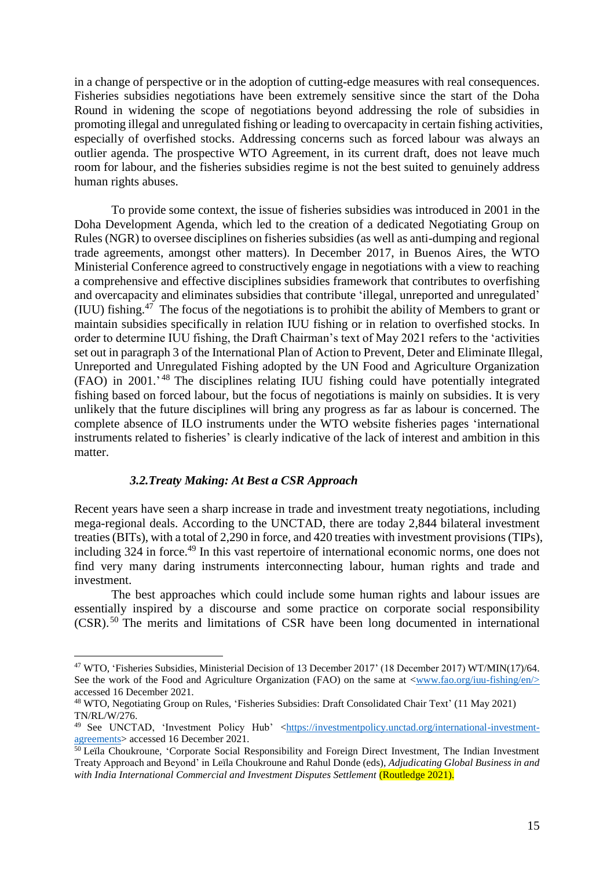in a change of perspective or in the adoption of cutting-edge measures with real consequences. Fisheries subsidies negotiations have been extremely sensitive since the start of the Doha Round in widening the scope of negotiations beyond addressing the role of subsidies in promoting illegal and unregulated fishing or leading to overcapacity in certain fishing activities, especially of overfished stocks. Addressing concerns such as forced labour was always an outlier agenda. The prospective WTO Agreement, in its current draft, does not leave much room for labour, and the fisheries subsidies regime is not the best suited to genuinely address human rights abuses.

To provide some context, the issue of fisheries subsidies was introduced in 2001 in the Doha Development Agenda, which led to the creation of a dedicated Negotiating Group on Rules (NGR) to oversee disciplines on fisheries subsidies (as well as anti-dumping and regional trade agreements, amongst other matters). In December 2017, in Buenos Aires, the WTO Ministerial Conference agreed to constructively engage in negotiations with a view to reaching a comprehensive and effective disciplines subsidies framework that contributes to overfishing and overcapacity and eliminates subsidies that contribute 'illegal, unreported and unregulated' (IUU) fishing.<sup>47</sup> The focus of the negotiations is to prohibit the ability of Members to grant or maintain subsidies specifically in relation IUU fishing or in relation to overfished stocks. In order to determine IUU fishing, the Draft Chairman's text of May 2021 refers to the 'activities set out in paragraph 3 of the International Plan of Action to Prevent, Deter and Eliminate Illegal, Unreported and Unregulated Fishing adopted by the UN Food and Agriculture Organization (FAO) in 2001.' <sup>48</sup> The disciplines relating IUU fishing could have potentially integrated fishing based on forced labour, but the focus of negotiations is mainly on subsidies. It is very unlikely that the future disciplines will bring any progress as far as labour is concerned. The complete absence of ILO instruments under the WTO website fisheries pages 'international instruments related to fisheries' is clearly indicative of the lack of interest and ambition in this matter.

## *3.2.Treaty Making: At Best a CSR Approach*

 $\overline{a}$ 

Recent years have seen a sharp increase in trade and investment treaty negotiations, including mega-regional deals. According to the UNCTAD, there are today 2,844 bilateral investment treaties (BITs), with a total of 2,290 in force, and 420 treaties with investment provisions (TIPs), including 324 in force. <sup>49</sup> In this vast repertoire of international economic norms, one does not find very many daring instruments interconnecting labour, human rights and trade and investment.

The best approaches which could include some human rights and labour issues are essentially inspired by a discourse and some practice on corporate social responsibility (CSR).<sup>50</sup> The merits and limitations of CSR have been long documented in international

<sup>47</sup> WTO, 'Fisheries Subsidies, Ministerial Decision of 13 December 2017' (18 December 2017) WT/MIN(17)/64. See the work of the Food and Agriculture Organization (FAO) on the same at  $\langle$ www.fao.org/iuu-fishing/en/ $>$ accessed 16 December 2021.

<sup>48</sup> WTO, Negotiating Group on Rules, 'Fisheries Subsidies: Draft Consolidated Chair Text' (11 May 2021) TN/RL/W/276.

<sup>&</sup>lt;sup>49</sup> See UNCTAD, 'Investment Policy Hub' [<https://investmentpolicy.unctad.org/international-investment](https://investmentpolicy.unctad.org/international-investment-agreements)[agreements>](https://investmentpolicy.unctad.org/international-investment-agreements) accessed 16 December 2021.

<sup>&</sup>lt;sup>50</sup> Leïla Choukroune, 'Corporate Social Responsibility and Foreign Direct Investment, The Indian Investment Treaty Approach and Beyond' in Leïla Choukroune and Rahul Donde (eds), *Adjudicating Global Business in and with India International Commercial and Investment Disputes Settlement* (Routledge 2021).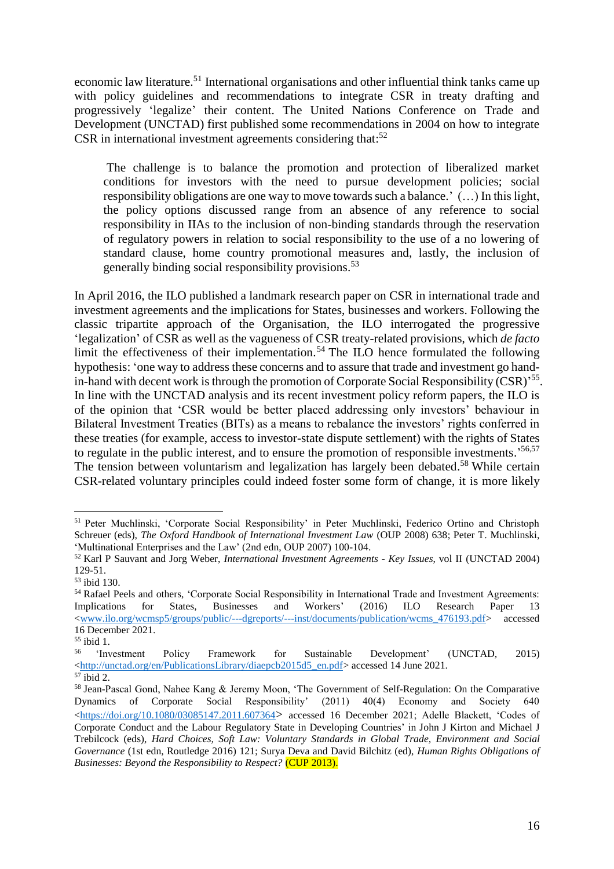economic law literature.<sup>51</sup> International organisations and other influential think tanks came up with policy guidelines and recommendations to integrate CSR in treaty drafting and progressively 'legalize' their content. The United Nations Conference on Trade and Development (UNCTAD) first published some recommendations in 2004 on how to integrate CSR in international investment agreements considering that:<sup>52</sup>

The challenge is to balance the promotion and protection of liberalized market conditions for investors with the need to pursue development policies; social responsibility obligations are one way to move towards such a balance.' (…) In this light, the policy options discussed range from an absence of any reference to social responsibility in IIAs to the inclusion of non-binding standards through the reservation of regulatory powers in relation to social responsibility to the use of a no lowering of standard clause, home country promotional measures and, lastly, the inclusion of generally binding social responsibility provisions. 53

In April 2016, the ILO published a landmark research paper on CSR in international trade and investment agreements and the implications for States, businesses and workers. Following the classic tripartite approach of the Organisation, the ILO interrogated the progressive 'legalization' of CSR as well as the vagueness of CSR treaty-related provisions, which *de facto* limit the effectiveness of their implementation. <sup>54</sup> The ILO hence formulated the following hypothesis: 'one way to address these concerns and to assure that trade and investment go handin-hand with decent work is through the promotion of Corporate Social Responsibility (CSR)<sup>55</sup>. In line with the UNCTAD analysis and its recent investment policy reform papers, the ILO is of the opinion that 'CSR would be better placed addressing only investors' behaviour in Bilateral Investment Treaties (BITs) as a means to rebalance the investors' rights conferred in these treaties (for example, access to investor-state dispute settlement) with the rights of States to regulate in the public interest, and to ensure the promotion of responsible investments.<sup>56,57</sup> The tension between voluntarism and legalization has largely been debated.<sup>58</sup> While certain CSR-related voluntary principles could indeed foster some form of change, it is more likely

 $\overline{a}$ <sup>51</sup> Peter Muchlinski, 'Corporate Social Responsibility' in Peter Muchlinski, Federico Ortino and Christoph Schreuer (eds), *The Oxford Handbook of International Investment Law* (OUP 2008) 638; Peter T. Muchlinski, 'Multinational Enterprises and the Law' (2nd edn, OUP 2007) 100-104.

<sup>52</sup> Karl P Sauvant and Jorg Weber, *International Investment Agreements - Key Issues*, vol II (UNCTAD 2004) 129-51.

<sup>53</sup> ibid 130.

<sup>54</sup> Rafael Peels and others, 'Corporate Social Responsibility in International Trade and Investment Agreements: Implications for States, Businesses and Workers' (2016) ILO Research Paper 13 [<www.ilo.org/wcmsp5/groups/public/---dgreports/---inst/documents/publication/wcms\\_476193.pdf>](http://www.ilo.org/wcmsp5/groups/public/---dgreports/---inst/documents/publication/wcms_476193.pdf) accessed 16 December 2021.

 $\frac{55}{56}$  ibid 1.

<sup>56</sup> 'Investment Policy Framework for Sustainable Development' (UNCTAD*,* 2015) [<http://unctad.org/en/PublicationsLibrary/diaepcb2015d5\\_en.pdf>](http://unctad.org/en/PublicationsLibrary/diaepcb2015d5_en.pdf) accessed 14 June 2021.

 $57$  ibid 2.

<sup>58</sup> Jean-Pascal Gond, Nahee Kang & Jeremy Moon, 'The Government of Self-Regulation: On the Comparative Dynamics of Corporate Social Responsibility' (2011) 40(4) Economy and Society 640 [<https://doi.org/10.1080/03085147.2011.607364](https://doi.org/10.1080/03085147.2011.607364)> accessed 16 December 2021; Adelle Blackett, 'Codes of Corporate Conduct and the Labour Regulatory State in Developing Countries' in John J Kirton and Michael J Trebilcock (eds), *Hard Choices, Soft Law: Voluntary Standards in Global Trade, Environment and Social Governance* (1st edn, Routledge 2016) 121; Surya Deva and David Bilchitz (ed), *Human Rights Obligations of Businesses: Beyond the Responsibility to Respect?* (CUP 2013).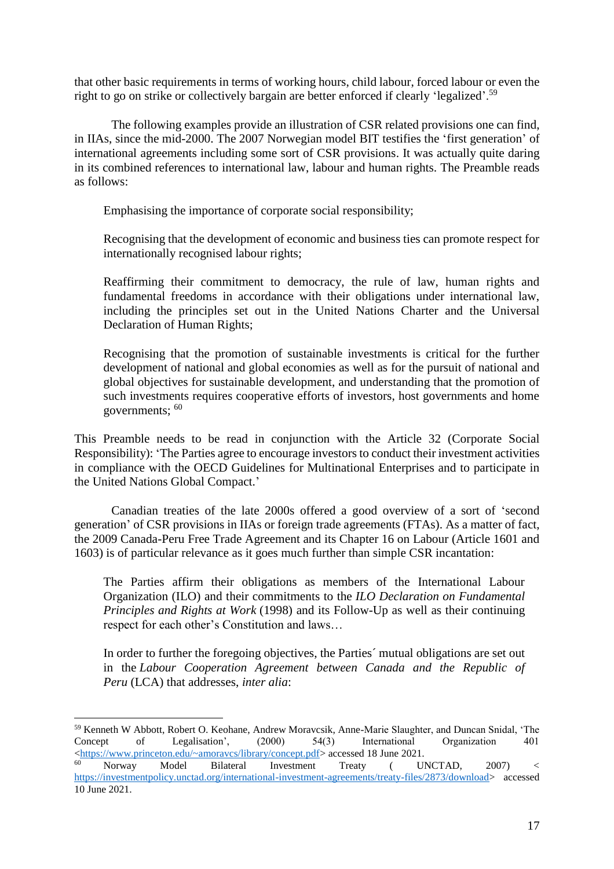that other basic requirements in terms of working hours, child labour, forced labour or even the right to go on strike or collectively bargain are better enforced if clearly 'legalized'.<sup>59</sup>

The following examples provide an illustration of CSR related provisions one can find, in IIAs, since the mid-2000. The 2007 Norwegian model BIT testifies the 'first generation' of international agreements including some sort of CSR provisions. It was actually quite daring in its combined references to international law, labour and human rights. The Preamble reads as follows:

Emphasising the importance of corporate social responsibility;

Recognising that the development of economic and business ties can promote respect for internationally recognised labour rights;

Reaffirming their commitment to democracy, the rule of law, human rights and fundamental freedoms in accordance with their obligations under international law, including the principles set out in the United Nations Charter and the Universal Declaration of Human Rights;

Recognising that the promotion of sustainable investments is critical for the further development of national and global economies as well as for the pursuit of national and global objectives for sustainable development, and understanding that the promotion of such investments requires cooperative efforts of investors, host governments and home governments;  $60$ 

This Preamble needs to be read in conjunction with the Article 32 (Corporate Social Responsibility): 'The Parties agree to encourage investors to conduct their investment activities in compliance with the OECD Guidelines for Multinational Enterprises and to participate in the United Nations Global Compact.'

Canadian treaties of the late 2000s offered a good overview of a sort of 'second generation' of CSR provisions in IIAs or foreign trade agreements (FTAs). As a matter of fact, the 2009 Canada-Peru Free Trade Agreement and its Chapter 16 on Labour (Article 1601 and 1603) is of particular relevance as it goes much further than simple CSR incantation:

The Parties affirm their obligations as members of the International Labour Organization (ILO) and their commitments to the *ILO Declaration on Fundamental Principles and Rights at Work* (1998) and its Follow-Up as well as their continuing respect for each other's Constitution and laws…

In order to further the foregoing objectives, the Parties´ mutual obligations are set out in the *Labour Cooperation Agreement between Canada and the Republic of Peru* (LCA) that addresses, *inter alia*:

<sup>59</sup> Kenneth W Abbott, Robert O. Keohane, Andrew Moravcsik, Anne-Marie Slaughter, and Duncan Snidal, 'The Concept of Legalisation', (2000) 54(3) International Organization 401  $\langle \frac{\text{https://www.princeton.edu/~amoravcs/library/concept.pdf}}{\text{Noww.princeton.edu/~amoravcs/library/concept.pdf}}$  accessed 18 June 2021.

<sup>60</sup> Norway Model Bilateral Investment Treaty ( UNCTAD, 2007) < [https://investmentpolicy.unctad.org/international-investment-agreements/treaty-files/2873/download>](https://investmentpolicy.unctad.org/international-investment-agreements/treaty-files/2873/download) accessed 10 June 2021.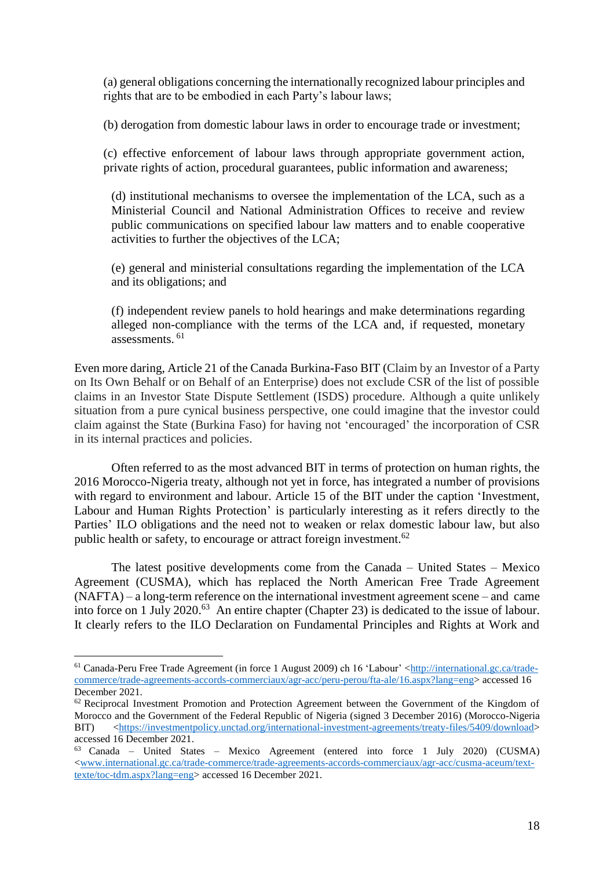(a) general obligations concerning the internationally recognized labour principles and rights that are to be embodied in each Party's labour laws;

(b) derogation from domestic labour laws in order to encourage trade or investment;

(c) effective enforcement of labour laws through appropriate government action, private rights of action, procedural guarantees, public information and awareness;

(d) institutional mechanisms to oversee the implementation of the LCA, such as a Ministerial Council and National Administration Offices to receive and review public communications on specified labour law matters and to enable cooperative activities to further the objectives of the LCA;

(e) general and ministerial consultations regarding the implementation of the LCA and its obligations; and

(f) independent review panels to hold hearings and make determinations regarding alleged non-compliance with the terms of the LCA and, if requested, monetary assessments. <sup>61</sup>

Even more daring, Article 21 of the Canada Burkina-Faso BIT (Claim by an Investor of a Party on Its Own Behalf or on Behalf of an Enterprise) does not exclude CSR of the list of possible claims in an Investor State Dispute Settlement (ISDS) procedure. Although a quite unlikely situation from a pure cynical business perspective, one could imagine that the investor could claim against the State (Burkina Faso) for having not 'encouraged' the incorporation of CSR in its internal practices and policies.

Often referred to as the most advanced BIT in terms of protection on human rights, the 2016 Morocco-Nigeria treaty, although not yet in force, has integrated a number of provisions with regard to environment and labour. Article 15 of the BIT under the caption 'Investment, Labour and Human Rights Protection' is particularly interesting as it refers directly to the Parties' ILO obligations and the need not to weaken or relax domestic labour law, but also public health or safety, to encourage or attract foreign investment.<sup>62</sup>

The latest positive developments come from the Canada – United States – Mexico Agreement (CUSMA), which has replaced the North American Free Trade Agreement (NAFTA) – a long-term reference on the international investment agreement scene – and came into force on 1 July 2020.<sup>63</sup> An entire chapter (Chapter 23) is dedicated to the issue of labour. It clearly refers to the ILO Declaration on Fundamental Principles and Rights at Work and

<sup>61</sup> Canada-Peru Free Trade Agreement (in force 1 August 2009) ch 16 'Labour' [<http://international.gc.ca/trade](http://international.gc.ca/trade-commerce/trade-agreements-accords-commerciaux/agr-acc/peru-perou/fta-ale/16.aspx?lang=eng)[commerce/trade-agreements-accords-commerciaux/agr-acc/peru-perou/fta-ale/16.aspx?lang=eng>](http://international.gc.ca/trade-commerce/trade-agreements-accords-commerciaux/agr-acc/peru-perou/fta-ale/16.aspx?lang=eng) accessed 16 December 2021.

 $62$  Reciprocal Investment Promotion and Protection Agreement between the Government of the Kingdom of Morocco and the Government of the Federal Republic of Nigeria (signed 3 December 2016) (Morocco-Nigeria BIT) [<https://investmentpolicy.unctad.org/international-investment-agreements/treaty-files/5409/download>](https://investmentpolicy.unctad.org/international-investment-agreements/treaty-files/5409/download) accessed 16 December 2021.

<sup>63</sup> Canada – United States – Mexico Agreement (entered into force 1 July 2020) (CUSMA) [<www.international.gc.ca/trade-commerce/trade-agreements-accords-commerciaux/agr-acc/cusma-aceum/text](http://www.international.gc.ca/trade-commerce/trade-agreements-accords-commerciaux/agr-acc/cusma-aceum/text-texte/toc-tdm.aspx?lang=eng)[texte/toc-tdm.aspx?lang=eng>](http://www.international.gc.ca/trade-commerce/trade-agreements-accords-commerciaux/agr-acc/cusma-aceum/text-texte/toc-tdm.aspx?lang=eng) accessed 16 December 2021.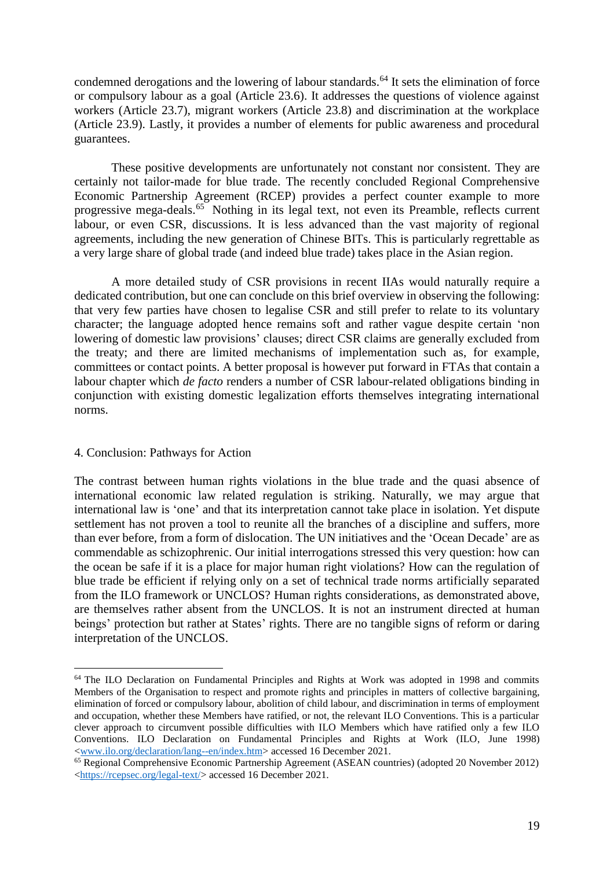condemned derogations and the lowering of labour standards. <sup>64</sup> It sets the elimination of force or compulsory labour as a goal (Article 23.6). It addresses the questions of violence against workers (Article 23.7), migrant workers (Article 23.8) and discrimination at the workplace (Article 23.9). Lastly, it provides a number of elements for public awareness and procedural guarantees.

These positive developments are unfortunately not constant nor consistent. They are certainly not tailor-made for blue trade. The recently concluded Regional Comprehensive Economic Partnership Agreement (RCEP) provides a perfect counter example to more progressive mega-deals. <sup>65</sup> Nothing in its legal text, not even its Preamble, reflects current labour, or even CSR, discussions. It is less advanced than the vast majority of regional agreements, including the new generation of Chinese BITs. This is particularly regrettable as a very large share of global trade (and indeed blue trade) takes place in the Asian region.

A more detailed study of CSR provisions in recent IIAs would naturally require a dedicated contribution, but one can conclude on this brief overview in observing the following: that very few parties have chosen to legalise CSR and still prefer to relate to its voluntary character; the language adopted hence remains soft and rather vague despite certain 'non lowering of domestic law provisions' clauses; direct CSR claims are generally excluded from the treaty; and there are limited mechanisms of implementation such as, for example, committees or contact points. A better proposal is however put forward in FTAs that contain a labour chapter which *de facto* renders a number of CSR labour-related obligations binding in conjunction with existing domestic legalization efforts themselves integrating international norms.

#### 4. Conclusion: Pathways for Action

 $\overline{a}$ 

The contrast between human rights violations in the blue trade and the quasi absence of international economic law related regulation is striking. Naturally, we may argue that international law is 'one' and that its interpretation cannot take place in isolation. Yet dispute settlement has not proven a tool to reunite all the branches of a discipline and suffers, more than ever before, from a form of dislocation. The UN initiatives and the 'Ocean Decade' are as commendable as schizophrenic. Our initial interrogations stressed this very question: how can the ocean be safe if it is a place for major human right violations? How can the regulation of blue trade be efficient if relying only on a set of technical trade norms artificially separated from the ILO framework or UNCLOS? Human rights considerations, as demonstrated above, are themselves rather absent from the UNCLOS. It is not an instrument directed at human beings' protection but rather at States' rights. There are no tangible signs of reform or daring interpretation of the UNCLOS.

<sup>&</sup>lt;sup>64</sup> The ILO Declaration on Fundamental Principles and Rights at Work was adopted in 1998 and commits Members of the Organisation to respect and promote rights and principles in matters of collective bargaining, elimination of forced or compulsory labour, abolition of child labour, and discrimination in terms of employment and occupation, whether these Members have ratified, or not, the relevant ILO Conventions. This is a particular clever approach to circumvent possible difficulties with ILO Members which have ratified only a few ILO Conventions. ILO Declaration on Fundamental Principles and Rights at Work (ILO, June 1998) [<www.ilo.org/declaration/lang--en/index.htm>](http://www.ilo.org/declaration/lang--en/index.htm) accessed 16 December 2021.

<sup>&</sup>lt;sup>65</sup> Regional Comprehensive Economic Partnership Agreement (ASEAN countries) (adopted 20 November 2012) [<https://rcepsec.org/legal-text/>](https://rcepsec.org/legal-text/) accessed 16 December 2021.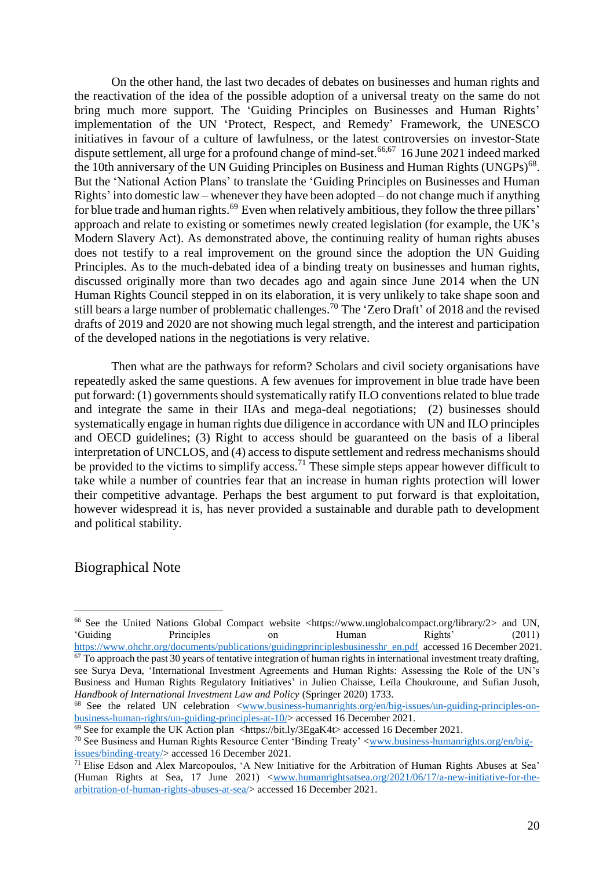On the other hand, the last two decades of debates on businesses and human rights and the reactivation of the idea of the possible adoption of a universal treaty on the same do not bring much more support. The 'Guiding Principles on Businesses and Human Rights' implementation of the UN 'Protect, Respect, and Remedy' Framework, the UNESCO initiatives in favour of a culture of lawfulness*,* or the latest controversies on investor-State dispute settlement, all urge for a profound change of mind-set. 66,67 16 June 2021 indeed marked the 10th anniversary of the UN Guiding Principles on Business and Human Rights (UNGPs)<sup>68</sup>. But the 'National Action Plans' to translate the 'Guiding Principles on Businesses and Human Rights' into domestic law – whenever they have been adopted – do not change much if anything for blue trade and human rights. <sup>69</sup> Even when relatively ambitious, they follow the three pillars' approach and relate to existing or sometimes newly created legislation (for example, the UK's Modern Slavery Act). As demonstrated above, the continuing reality of human rights abuses does not testify to a real improvement on the ground since the adoption the UN Guiding Principles. As to the much-debated idea of a binding treaty on businesses and human rights, discussed originally more than two decades ago and again since June 2014 when the UN Human Rights Council stepped in on its elaboration, it is very unlikely to take shape soon and still bears a large number of problematic challenges.<sup>70</sup> The 'Zero Draft' of 2018 and the revised drafts of 2019 and 2020 are not showing much legal strength, and the interest and participation of the developed nations in the negotiations is very relative.

Then what are the pathways for reform? Scholars and civil society organisations have repeatedly asked the same questions. A few avenues for improvement in blue trade have been put forward: (1) governments should systematically ratify ILO conventions related to blue trade and integrate the same in their IIAs and mega-deal negotiations; (2) businesses should systematically engage in human rights due diligence in accordance with UN and ILO principles and OECD guidelines; (3) Right to access should be guaranteed on the basis of a liberal interpretation of UNCLOS, and (4) access to dispute settlement and redress mechanisms should be provided to the victims to simplify access.<sup>71</sup> These simple steps appear however difficult to take while a number of countries fear that an increase in human rights protection will lower their competitive advantage. Perhaps the best argument to put forward is that exploitation, however widespread it is, has never provided a sustainable and durable path to development and political stability.

## Biographical Note

<sup>&</sup>lt;sup>66</sup> See the United Nations Global Compact website  $\langle \text{https://www.unglobalcompact.org/library/2>} \rangle$  and UN, 'Guiding Principles on Human Rights' (2011) [https://www.ohchr.org/documents/publications/guidingprinciplesbusinesshr\\_en.pdf](https://www.ohchr.org/documents/publications/guidingprinciplesbusinesshr_en.pdf) accessed 16 December 2021.  $67$  To approach the past 30 years of tentative integration of human rights in international investment treaty drafting,

see Surya Deva, 'International Investment Agreements and Human Rights: Assessing the Role of the UN's Business and Human Rights Regulatory Initiatives' in Julien Chaisse, Leïla Choukroune, and Sufian Jusoh, *Handbook of International Investment Law and Policy* (Springer 2020) 1733.

<sup>&</sup>lt;sup>68</sup> See the related UN celebration [<www.business-humanrights.org/en/big-issues/un-guiding-principles-on](http://www.business-humanrights.org/en/big-issues/un-guiding-principles-on-business-human-rights/un-guiding-principles-at-10/)[business-human-rights/un-guiding-principles-at-10/>](http://www.business-humanrights.org/en/big-issues/un-guiding-principles-on-business-human-rights/un-guiding-principles-at-10/) accessed 16 December 2021.

 $\frac{69}{69}$  See for example the UK Action plan <https://bit.ly/3EgaK4t> accessed 16 December 2021.

<sup>&</sup>lt;sup>70</sup> See Business and Human Rights Resource Center 'Binding Treaty' [<www.business-humanrights.org/en/big](http://www.business-humanrights.org/en/big-issues/binding-treaty/)[issues/binding-treaty/>](http://www.business-humanrights.org/en/big-issues/binding-treaty/) accessed 16 December 2021.

<sup>&</sup>lt;sup>71</sup> Elise Edson and Alex Marcopoulos, 'A New Initiative for the Arbitration of Human Rights Abuses at Sea' (Human Rights at Sea, 17 June 2021) [<www.humanrightsatsea.org/2021/06/17/a-new-initiative-for-the](http://www.humanrightsatsea.org/2021/06/17/a-new-initiative-for-the-arbitration-of-human-rights-abuses-at-sea/)[arbitration-of-human-rights-abuses-at-sea/>](http://www.humanrightsatsea.org/2021/06/17/a-new-initiative-for-the-arbitration-of-human-rights-abuses-at-sea/) accessed 16 December 2021.